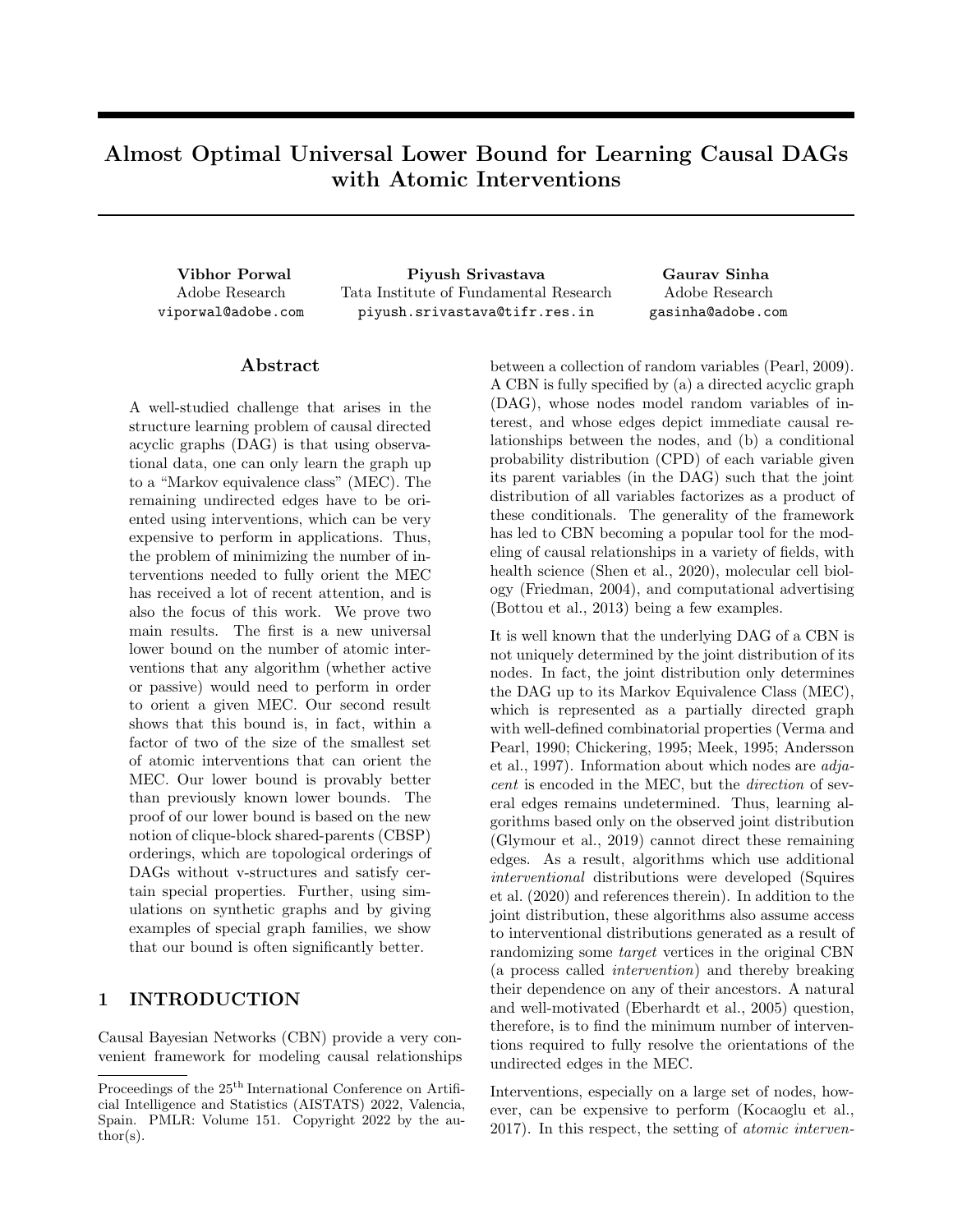# Almost Optimal Universal Lower Bound for Learning Causal DAGs with Atomic Interventions

Adobe Research viporwal@adobe.com

Vibhor Porwal Piyush Srivastava Gaurav Sinha Tata Institute of Fundamental Research piyush.srivastava@tifr.res.in

Adobe Research gasinha@adobe.com

## Abstract

A well-studied challenge that arises in the structure learning problem of causal directed acyclic graphs (DAG) is that using observational data, one can only learn the graph up to a "Markov equivalence class" (MEC). The remaining undirected edges have to be oriented using interventions, which can be very expensive to perform in applications. Thus, the problem of minimizing the number of interventions needed to fully orient the MEC has received a lot of recent attention, and is also the focus of this work. We prove two main results. The first is a new universal lower bound on the number of atomic interventions that any algorithm (whether active or passive) would need to perform in order to orient a given MEC. Our second result shows that this bound is, in fact, within a factor of two of the size of the smallest set of atomic interventions that can orient the MEC. Our lower bound is provably better than previously known lower bounds. The proof of our lower bound is based on the new notion of clique-block shared-parents (CBSP) orderings, which are topological orderings of DAGs without v-structures and satisfy certain special properties. Further, using simulations on synthetic graphs and by giving examples of special graph families, we show that our bound is often significantly better.

# 1 INTRODUCTION

Causal Bayesian Networks (CBN) provide a very convenient framework for modeling causal relationships between a collection of random variables (Pearl, 2009). A CBN is fully specified by (a) a directed acyclic graph (DAG), whose nodes model random variables of interest, and whose edges depict immediate causal relationships between the nodes, and (b) a conditional probability distribution (CPD) of each variable given its parent variables (in the DAG) such that the joint distribution of all variables factorizes as a product of these conditionals. The generality of the framework has led to CBN becoming a popular tool for the modeling of causal relationships in a variety of fields, with health science (Shen et al., 2020), molecular cell biology (Friedman, 2004), and computational advertising (Bottou et al., 2013) being a few examples.

It is well known that the underlying DAG of a CBN is not uniquely determined by the joint distribution of its nodes. In fact, the joint distribution only determines the DAG up to its Markov Equivalence Class (MEC), which is represented as a partially directed graph with well-defined combinatorial properties (Verma and Pearl, 1990; Chickering, 1995; Meek, 1995; Andersson et al., 1997). Information about which nodes are adjacent is encoded in the MEC, but the direction of several edges remains undetermined. Thus, learning algorithms based only on the observed joint distribution (Glymour et al., 2019) cannot direct these remaining edges. As a result, algorithms which use additional interventional distributions were developed (Squires et al. (2020) and references therein). In addition to the joint distribution, these algorithms also assume access to interventional distributions generated as a result of randomizing some target vertices in the original CBN (a process called intervention) and thereby breaking their dependence on any of their ancestors. A natural and well-motivated (Eberhardt et al., 2005) question, therefore, is to find the minimum number of interventions required to fully resolve the orientations of the undirected edges in the MEC.

Interventions, especially on a large set of nodes, however, can be expensive to perform (Kocaoglu et al., 2017). In this respect, the setting of atomic interven-

Proceedings of the  $25<sup>th</sup>$  International Conference on Artificial Intelligence and Statistics (AISTATS) 2022, Valencia, Spain. PMLR: Volume 151. Copyright 2022 by the au- $\text{thor}(s)$ .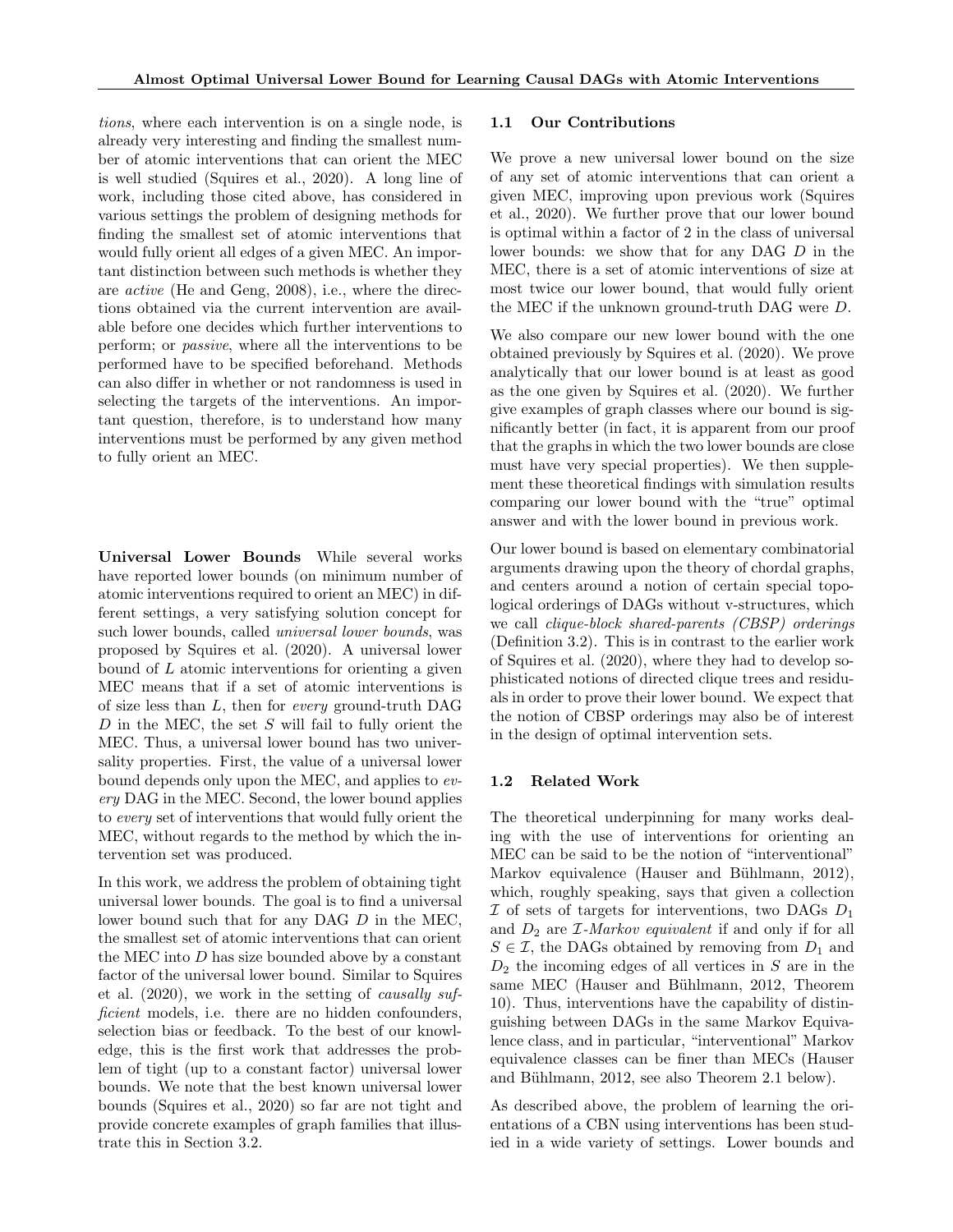tions, where each intervention is on a single node, is already very interesting and finding the smallest number of atomic interventions that can orient the MEC is well studied (Squires et al., 2020). A long line of work, including those cited above, has considered in various settings the problem of designing methods for finding the smallest set of atomic interventions that would fully orient all edges of a given MEC. An important distinction between such methods is whether they are active (He and Geng, 2008), i.e., where the directions obtained via the current intervention are available before one decides which further interventions to perform; or passive, where all the interventions to be performed have to be specified beforehand. Methods can also differ in whether or not randomness is used in selecting the targets of the interventions. An important question, therefore, is to understand how many interventions must be performed by any given method to fully orient an MEC.

Universal Lower Bounds While several works have reported lower bounds (on minimum number of atomic interventions required to orient an MEC) in different settings, a very satisfying solution concept for such lower bounds, called universal lower bounds, was proposed by Squires et al. (2020). A universal lower bound of  $L$  atomic interventions for orienting a given MEC means that if a set of atomic interventions is of size less than L, then for every ground-truth DAG  $D$  in the MEC, the set  $S$  will fail to fully orient the MEC. Thus, a universal lower bound has two universality properties. First, the value of a universal lower bound depends only upon the MEC, and applies to every DAG in the MEC. Second, the lower bound applies to every set of interventions that would fully orient the MEC, without regards to the method by which the intervention set was produced.

In this work, we address the problem of obtaining tight universal lower bounds. The goal is to find a universal lower bound such that for any DAG D in the MEC, the smallest set of atomic interventions that can orient the MEC into  $D$  has size bounded above by a constant factor of the universal lower bound. Similar to Squires et al. (2020), we work in the setting of causally sufficient models, i.e. there are no hidden confounders, selection bias or feedback. To the best of our knowledge, this is the first work that addresses the problem of tight (up to a constant factor) universal lower bounds. We note that the best known universal lower bounds (Squires et al., 2020) so far are not tight and provide concrete examples of graph families that illustrate this in Section 3.2.

### 1.1 Our Contributions

We prove a new universal lower bound on the size of any set of atomic interventions that can orient a given MEC, improving upon previous work (Squires et al., 2020). We further prove that our lower bound is optimal within a factor of 2 in the class of universal lower bounds: we show that for any DAG D in the MEC, there is a set of atomic interventions of size at most twice our lower bound, that would fully orient the MEC if the unknown ground-truth DAG were D.

We also compare our new lower bound with the one obtained previously by Squires et al. (2020). We prove analytically that our lower bound is at least as good as the one given by Squires et al. (2020). We further give examples of graph classes where our bound is significantly better (in fact, it is apparent from our proof that the graphs in which the two lower bounds are close must have very special properties). We then supplement these theoretical findings with simulation results comparing our lower bound with the "true" optimal answer and with the lower bound in previous work.

Our lower bound is based on elementary combinatorial arguments drawing upon the theory of chordal graphs, and centers around a notion of certain special topological orderings of DAGs without v-structures, which we call clique-block shared-parents (CBSP) orderings (Definition 3.2). This is in contrast to the earlier work of Squires et al. (2020), where they had to develop sophisticated notions of directed clique trees and residuals in order to prove their lower bound. We expect that the notion of CBSP orderings may also be of interest in the design of optimal intervention sets.

## 1.2 Related Work

The theoretical underpinning for many works dealing with the use of interventions for orienting an MEC can be said to be the notion of "interventional" Markov equivalence (Hauser and Bühlmann, 2012), which, roughly speaking, says that given a collection  $\mathcal I$  of sets of targets for interventions, two DAGs  $D_1$ and  $D_2$  are *I*-Markov equivalent if and only if for all  $S \in \mathcal{I}$ , the DAGs obtained by removing from  $D_1$  and  $D_2$  the incoming edges of all vertices in S are in the same MEC (Hauser and Bühlmann, 2012, Theorem 10). Thus, interventions have the capability of distinguishing between DAGs in the same Markov Equivalence class, and in particular, "interventional" Markov equivalence classes can be finer than MECs (Hauser and Bühlmann, 2012, see also Theorem 2.1 below).

As described above, the problem of learning the orientations of a CBN using interventions has been studied in a wide variety of settings. Lower bounds and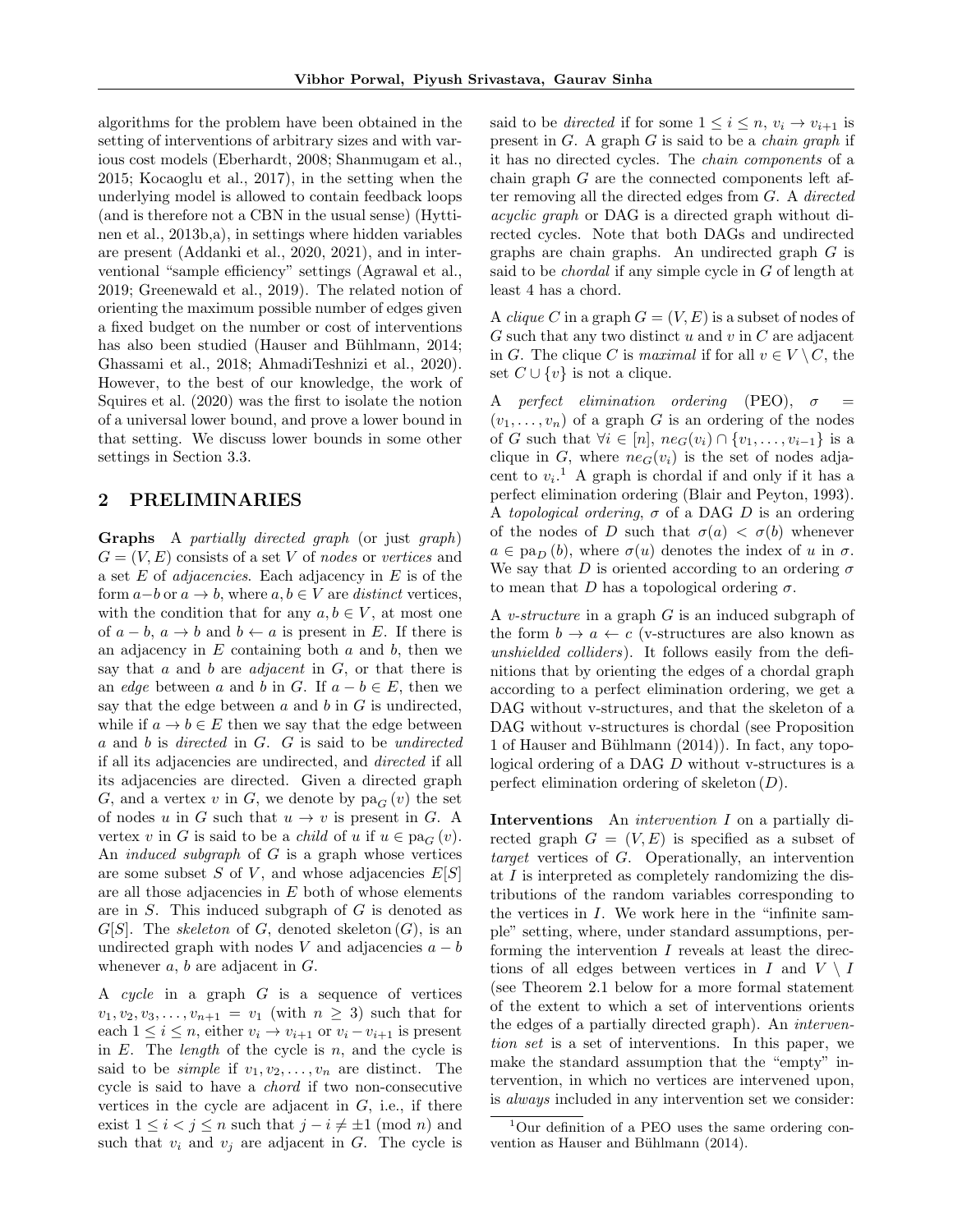algorithms for the problem have been obtained in the setting of interventions of arbitrary sizes and with various cost models (Eberhardt, 2008; Shanmugam et al., 2015; Kocaoglu et al., 2017), in the setting when the underlying model is allowed to contain feedback loops (and is therefore not a CBN in the usual sense) (Hyttinen et al., 2013b,a), in settings where hidden variables are present (Addanki et al., 2020, 2021), and in interventional "sample efficiency" settings (Agrawal et al., 2019; Greenewald et al., 2019). The related notion of orienting the maximum possible number of edges given a fixed budget on the number or cost of interventions has also been studied (Hauser and Bühlmann, 2014; Ghassami et al., 2018; AhmadiTeshnizi et al., 2020). However, to the best of our knowledge, the work of Squires et al. (2020) was the first to isolate the notion of a universal lower bound, and prove a lower bound in that setting. We discuss lower bounds in some other settings in Section 3.3.

## 2 PRELIMINARIES

Graphs A partially directed graph (or just graph)  $G = (V, E)$  consists of a set V of nodes or vertices and a set  $E$  of *adjacencies*. Each adjacency in  $E$  is of the form  $a-b$  or  $a \to b$ , where  $a, b \in V$  are *distinct* vertices, with the condition that for any  $a, b \in V$ , at most one of  $a - b$ ,  $a \rightarrow b$  and  $b \leftarrow a$  is present in E. If there is an adjacency in  $E$  containing both  $a$  and  $b$ , then we say that a and b are *adjacent* in  $G$ , or that there is an *edge* between a and b in G. If  $a - b \in E$ , then we say that the edge between  $a$  and  $b$  in  $G$  is undirected. while if  $a \to b \in E$  then we say that the edge between a and b is directed in G. G is said to be undirected if all its adjacencies are undirected, and directed if all its adjacencies are directed. Given a directed graph G, and a vertex v in G, we denote by  $pa_G(v)$  the set of nodes u in G such that  $u \to v$  is present in G. A vertex v in G is said to be a *child* of u if  $u \in pa_G(v)$ . An *induced subgraph* of  $G$  is a graph whose vertices are some subset S of V, and whose adjacencies  $E[S]$ are all those adjacencies in  $E$  both of whose elements are in S. This induced subgraph of G is denoted as  $G[S]$ . The *skeleton* of G, denoted skeleton  $(G)$ , is an undirected graph with nodes V and adjacencies  $a - b$ whenever  $a, b$  are adjacent in  $G$ .

A cycle in a graph  $G$  is a sequence of vertices  $v_1, v_2, v_3, \ldots, v_{n+1} = v_1$  (with  $n \geq 3$ ) such that for each  $1 \leq i \leq n$ , either  $v_i \rightarrow v_{i+1}$  or  $v_i - v_{i+1}$  is present in  $E$ . The *length* of the cycle is  $n$ , and the cycle is said to be *simple* if  $v_1, v_2, \ldots, v_n$  are distinct. The cycle is said to have a chord if two non-consecutive vertices in the cycle are adjacent in  $G$ , i.e., if there exist  $1 \leq i < j \leq n$  such that  $j - i \neq \pm 1 \pmod{n}$  and such that  $v_i$  and  $v_j$  are adjacent in G. The cycle is said to be *directed* if for some  $1 \leq i \leq n$ ,  $v_i \rightarrow v_{i+1}$  is present in  $G$ . A graph  $G$  is said to be a *chain graph* if it has no directed cycles. The chain components of a chain graph  $G$  are the connected components left after removing all the directed edges from G. A directed acyclic graph or DAG is a directed graph without directed cycles. Note that both DAGs and undirected graphs are chain graphs. An undirected graph G is said to be chordal if any simple cycle in G of length at least 4 has a chord.

A *clique* C in a graph  $G = (V, E)$  is a subset of nodes of  $G$  such that any two distinct  $u$  and  $v$  in  $C$  are adjacent in G. The clique C is maximal if for all  $v \in V \setminus C$ , the set  $C \cup \{v\}$  is not a clique.

A perfect elimination ordering (PEO),  $\sigma$  $(v_1, \ldots, v_n)$  of a graph G is an ordering of the nodes of G such that  $\forall i \in [n], \text{neg}(v_i) \cap \{v_1, \ldots, v_{i-1}\}\$ is a clique in G, where  $ne_G(v_i)$  is the set of nodes adjacent to  $v_i$ <sup>1</sup> A graph is chordal if and only if it has a perfect elimination ordering (Blair and Peyton, 1993). A topological ordering,  $\sigma$  of a DAG D is an ordering of the nodes of D such that  $\sigma(a) < \sigma(b)$  whenever  $a \in \text{pa}_D(b)$ , where  $\sigma(u)$  denotes the index of u in  $\sigma$ . We say that D is oriented according to an ordering  $\sigma$ to mean that D has a topological ordering  $\sigma$ .

A v-structure in a graph G is an induced subgraph of the form  $b \to a \leftarrow c$  (v-structures are also known as unshielded colliders). It follows easily from the definitions that by orienting the edges of a chordal graph according to a perfect elimination ordering, we get a DAG without v-structures, and that the skeleton of a DAG without v-structures is chordal (see Proposition 1 of Hauser and Bühlmann  $(2014)$ ). In fact, any topological ordering of a DAG D without v-structures is a perfect elimination ordering of skeleton  $(D)$ .

Interventions An intervention I on a partially directed graph  $G = (V, E)$  is specified as a subset of target vertices of G. Operationally, an intervention at I is interpreted as completely randomizing the distributions of the random variables corresponding to the vertices in I. We work here in the "infinite sample" setting, where, under standard assumptions, performing the intervention  $I$  reveals at least the directions of all edges between vertices in I and  $V \setminus I$ (see Theorem 2.1 below for a more formal statement of the extent to which a set of interventions orients the edges of a partially directed graph). An intervention set is a set of interventions. In this paper, we make the standard assumption that the "empty" intervention, in which no vertices are intervened upon, is always included in any intervention set we consider:

 $1$ Our definition of a PEO uses the same ordering convention as Hauser and Bühlmann (2014).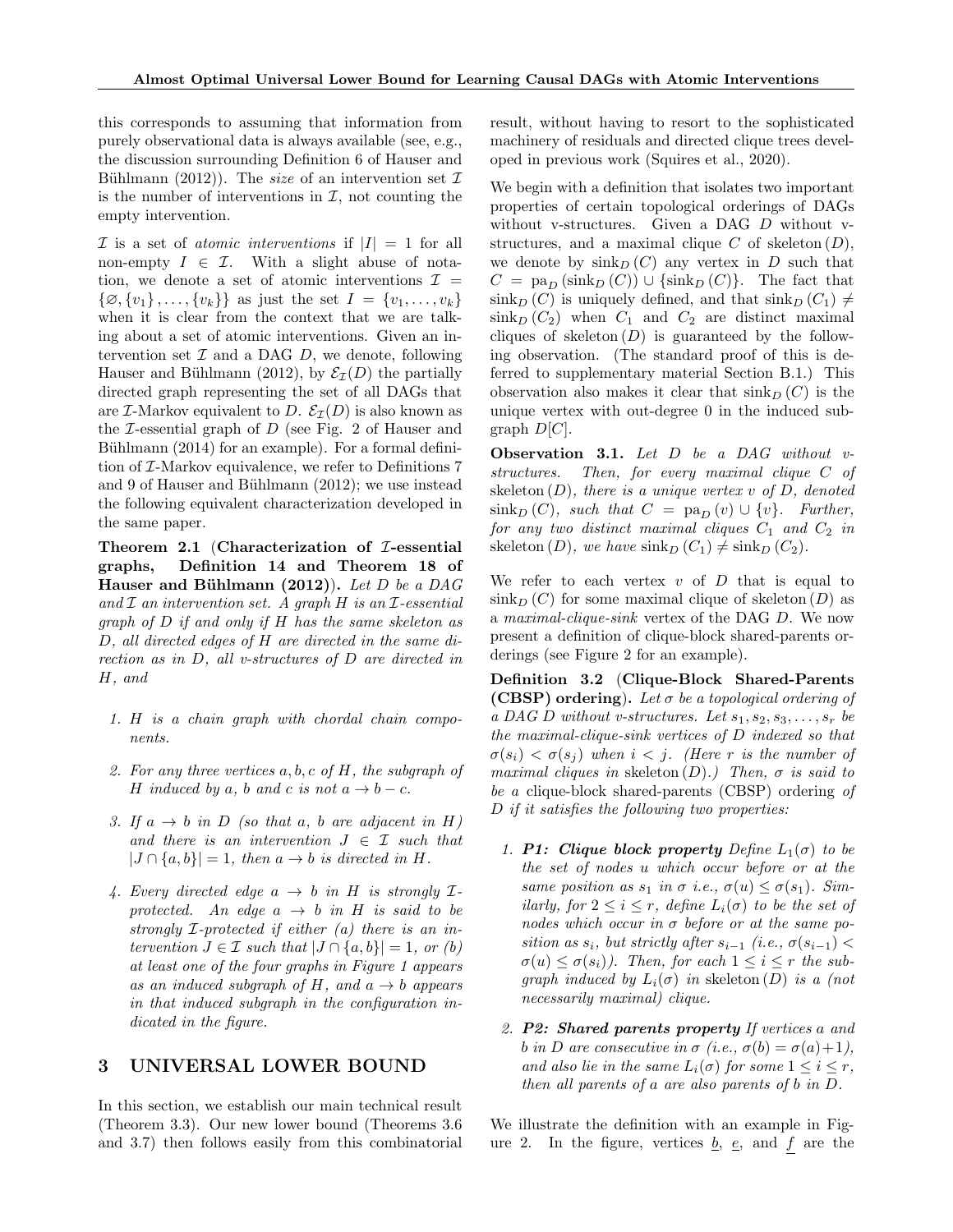this corresponds to assuming that information from purely observational data is always available (see, e.g., the discussion surrounding Definition 6 of Hauser and Bühlmann (2012)). The *size* of an intervention set  $\mathcal I$ is the number of interventions in  $\mathcal{I}$ , not counting the empty intervention.

 $\mathcal I$  is a set of *atomic interventions* if  $|I| = 1$  for all non-empty  $I \in \mathcal{I}$ . With a slight abuse of notation, we denote a set of atomic interventions  $\mathcal{I} =$  $\{\emptyset, \{v_1\}, \ldots, \{v_k\}\}\$ as just the set  $I = \{v_1, \ldots, v_k\}\$ when it is clear from the context that we are talking about a set of atomic interventions. Given an intervention set  $\mathcal I$  and a DAG  $D$ , we denote, following Hauser and Bühlmann (2012), by  $\mathcal{E}_{\mathcal{I}}(D)$  the partially directed graph representing the set of all DAGs that are *I*-Markov equivalent to D.  $\mathcal{E}_I(D)$  is also known as the  $\mathcal I$ -essential graph of  $D$  (see Fig. 2 of Hauser and Bühlmann  $(2014)$  for an example). For a formal definition of I-Markov equivalence, we refer to Definitions 7 and 9 of Hauser and Bühlmann  $(2012)$ ; we use instead the following equivalent characterization developed in the same paper.

Theorem 2.1 (Characterization of  $I$ -essential graphs, Definition 14 and Theorem 18 of Hauser and Bühlmann  $(2012)$ ). Let D be a DAG and  $\mathcal I$  an intervention set. A graph  $H$  is an  $\mathcal I$ -essential graph of D if and only if H has the same skeleton as D, all directed edges of H are directed in the same direction as in D, all v-structures of D are directed in H, and

- 1. H is a chain graph with chordal chain components.
- 2. For any three vertices  $a, b, c$  of  $H$ , the subgraph of H induced by a, b and c is not  $a \rightarrow b - c$ .
- 3. If  $a \rightarrow b$  in D (so that a, b are adjacent in H) and there is an intervention  $J \in \mathcal{I}$  such that  $|J \cap \{a, b\}| = 1$ , then  $a \to b$  is directed in H.
- 4. Every directed edge  $a \rightarrow b$  in H is strongly  $\mathcal{I}$ protected. An edge  $a \rightarrow b$  in H is said to be strongly I-protected if either (a) there is an intervention  $J \in \mathcal{I}$  such that  $|J \cap \{a, b\}| = 1$ , or  $(b)$ at least one of the four graphs in Figure 1 appears as an induced subgraph of H, and  $a \rightarrow b$  appears in that induced subgraph in the configuration indicated in the figure.

## 3 UNIVERSAL LOWER BOUND

In this section, we establish our main technical result (Theorem 3.3). Our new lower bound (Theorems 3.6 and 3.7) then follows easily from this combinatorial result, without having to resort to the sophisticated machinery of residuals and directed clique trees developed in previous work (Squires et al., 2020).

We begin with a definition that isolates two important properties of certain topological orderings of DAGs without v-structures. Given a DAG D without vstructures, and a maximal clique  $C$  of skeleton  $(D)$ , we denote by  $\sin k_D (C)$  any vertex in D such that  $C = \text{pa}_D(\text{sink}_D(C)) \cup \{\text{sink}_D(C)\}.$  The fact that  $\sin k_D (C)$  is uniquely defined, and that  $\sin k_D (C_1) \neq$  $\sin k_D (C_2)$  when  $C_1$  and  $C_2$  are distinct maximal cliques of skeleton  $(D)$  is guaranteed by the following observation. (The standard proof of this is deferred to supplementary material Section B.1.) This observation also makes it clear that  $\sin k_D (C)$  is the unique vertex with out-degree 0 in the induced subgraph  $D[C]$ .

Observation 3.1. Let D be a DAG without vstructures. Then, for every maximal clique C of skeleton  $(D)$ , there is a unique vertex v of  $D$ , denoted  $\sin k_D(C)$ , such that  $C = \text{pa}_D(v) \cup \{v\}$ . Further, for any two distinct maximal cliques  $C_1$  and  $C_2$  in skeleton (D), we have  $\sin k_D (C_1) \neq \sin k_D (C_2)$ .

We refer to each vertex  $v$  of  $D$  that is equal to  $\sin k_D (C)$  for some maximal clique of skeleton  $(D)$  as a maximal-clique-sink vertex of the DAG D. We now present a definition of clique-block shared-parents orderings (see Figure 2 for an example).

Definition 3.2 (Clique-Block Shared-Parents (CBSP) ordering). Let  $\sigma$  be a topological ordering of a DAG D without v-structures. Let  $s_1, s_2, s_3, \ldots, s_r$  be the maximal-clique-sink vertices of D indexed so that  $\sigma(s_i) < \sigma(s_i)$  when  $i < j$ . (Here r is the number of maximal cliques in skeleton  $(D)$ .) Then,  $\sigma$  is said to be a clique-block shared-parents (CBSP) ordering of D if it satisfies the following two properties:

- 1. P1: Clique block property Define  $L_1(\sigma)$  to be the set of nodes u which occur before or at the same position as  $s_1$  in  $\sigma$  i.e.,  $\sigma(u) \leq \sigma(s_1)$ . Similarly, for  $2 \leq i \leq r$ , define  $L_i(\sigma)$  to be the set of nodes which occur in  $\sigma$  before or at the same position as  $s_i$ , but strictly after  $s_{i-1}$  (i.e.,  $\sigma(s_{i-1})$  <  $\sigma(u) \leq \sigma(s_i)$ ). Then, for each  $1 \leq i \leq r$  the subgraph induced by  $L_i(\sigma)$  in skeleton  $(D)$  is a (not necessarily maximal) clique.
- 2. P2: Shared parents property If vertices a and b in D are consecutive in  $\sigma$  (i.e.,  $\sigma(b) = \sigma(a)+1$ ), and also lie in the same  $L_i(\sigma)$  for some  $1 \leq i \leq r$ , then all parents of a are also parents of b in D.

We illustrate the definition with an example in Figure 2. In the figure, vertices  $\underline{b}$ ,  $\underline{e}$ , and  $f$  are the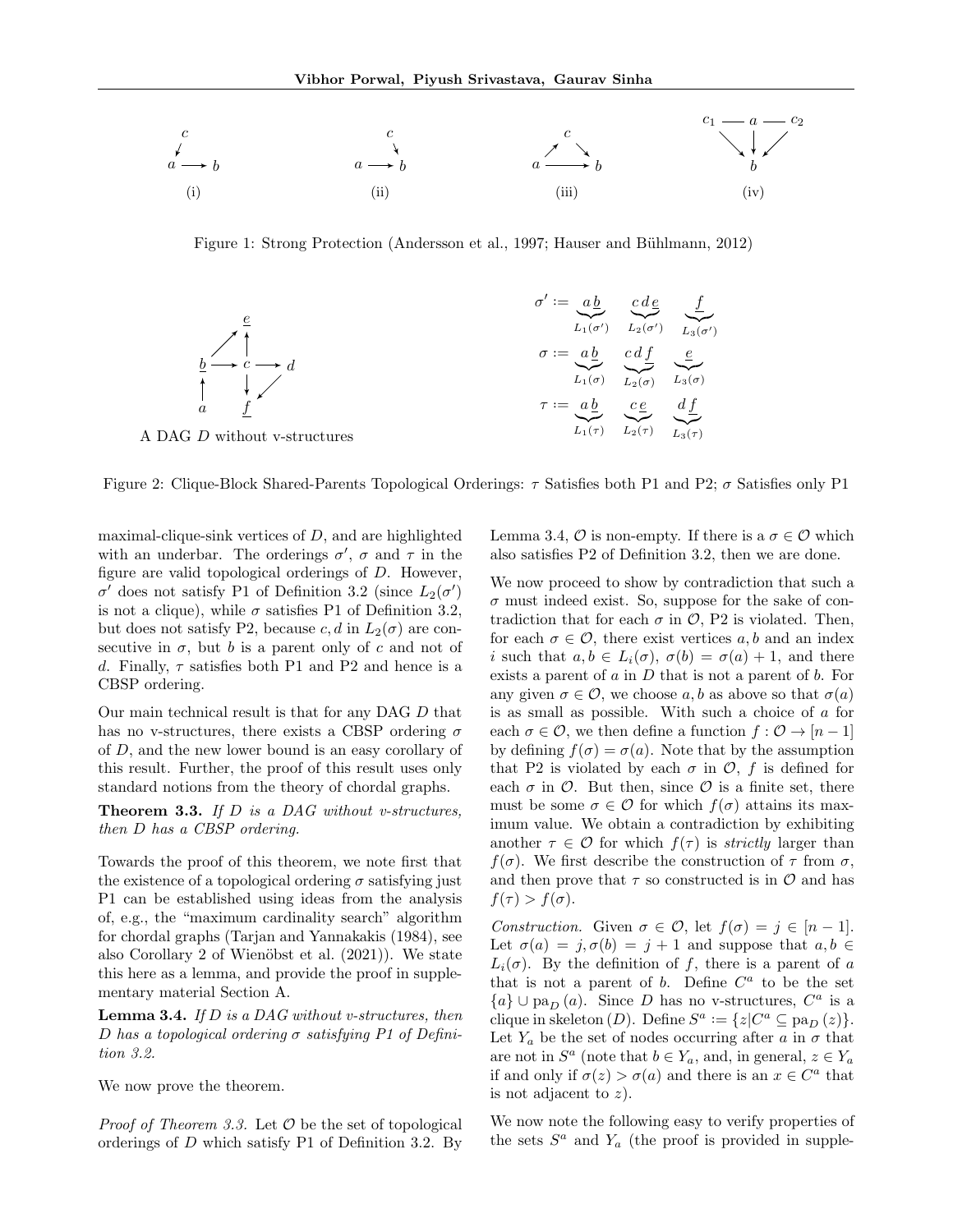

Figure 1: Strong Protection (Andersson et al., 1997; Hauser and Bühlmann, 2012)



Figure 2: Clique-Block Shared-Parents Topological Orderings:  $\tau$  Satisfies both P1 and P2;  $\sigma$  Satisfies only P1

maximal-clique-sink vertices of  $D$ , and are highlighted with an underbar. The orderings  $\sigma'$ ,  $\sigma$  and  $\tau$  in the figure are valid topological orderings of D. However,  $\sigma'$  does not satisfy P1 of Definition 3.2 (since  $L_2(\sigma')$ is not a clique), while  $\sigma$  satisfies P1 of Definition 3.2, but does not satisfy P2, because c, d in  $L_2(\sigma)$  are consecutive in  $\sigma$ , but b is a parent only of c and not of d. Finally,  $\tau$  satisfies both P1 and P2 and hence is a CBSP ordering.

Our main technical result is that for any DAG D that has no v-structures, there exists a CBSP ordering  $\sigma$ of D, and the new lower bound is an easy corollary of this result. Further, the proof of this result uses only standard notions from the theory of chordal graphs.

**Theorem 3.3.** If  $D$  is a DAG without v-structures, then D has a CBSP ordering.

Towards the proof of this theorem, we note first that the existence of a topological ordering  $\sigma$  satisfying just P1 can be established using ideas from the analysis of, e.g., the "maximum cardinality search" algorithm for chordal graphs (Tarjan and Yannakakis (1984), see also Corollary 2 of Wienöbst et al.  $(2021)$ ). We state this here as a lemma, and provide the proof in supplementary material Section A.

**Lemma 3.4.** If  $D$  is a DAG without v-structures, then D has a topological ordering  $\sigma$  satisfying P1 of Definition 3.2.

We now prove the theorem.

*Proof of Theorem 3.3.* Let  $\mathcal O$  be the set of topological orderings of D which satisfy P1 of Definition 3.2. By Lemma 3.4,  $\mathcal O$  is non-empty. If there is a  $\sigma \in \mathcal O$  which also satisfies P2 of Definition 3.2, then we are done.

We now proceed to show by contradiction that such a  $\sigma$  must indeed exist. So, suppose for the sake of contradiction that for each  $\sigma$  in  $\mathcal{O}$ , P2 is violated. Then, for each  $\sigma \in \mathcal{O}$ , there exist vertices a, b and an index i such that  $a, b \in L_i(\sigma)$ ,  $\sigma(b) = \sigma(a) + 1$ , and there exists a parent of  $a$  in  $D$  that is not a parent of  $b$ . For any given  $\sigma \in \mathcal{O}$ , we choose a, b as above so that  $\sigma(a)$ is as small as possible. With such a choice of a for each  $\sigma \in \mathcal{O}$ , we then define a function  $f : \mathcal{O} \to [n-1]$ by defining  $f(\sigma) = \sigma(a)$ . Note that by the assumption that P2 is violated by each  $\sigma$  in  $\mathcal{O}, f$  is defined for each  $\sigma$  in  $\mathcal{O}$ . But then, since  $\mathcal O$  is a finite set, there must be some  $\sigma \in \mathcal{O}$  for which  $f(\sigma)$  attains its maximum value. We obtain a contradiction by exhibiting another  $\tau \in \mathcal{O}$  for which  $f(\tau)$  is *strictly* larger than  $f(\sigma)$ . We first describe the construction of  $\tau$  from  $\sigma$ , and then prove that  $\tau$  so constructed is in  $\mathcal O$  and has  $f(\tau) > f(\sigma)$ .

Construction. Given  $\sigma \in \mathcal{O}$ , let  $f(\sigma) = j \in [n-1]$ . Let  $\sigma(a) = j, \sigma(b) = j + 1$  and suppose that  $a, b \in$  $L_i(\sigma)$ . By the definition of f, there is a parent of a that is not a parent of  $b$ . Define  $C^a$  to be the set  ${a} \cup pa_D(a)$ . Since D has no v-structures,  $C^a$  is a clique in skeleton  $(D)$ . Define  $S^a := \{z | C^a \subseteq \text{pa}_D(z)\}.$ Let  $Y_a$  be the set of nodes occurring after a in  $\sigma$  that are not in  $S^a$  (note that  $b \in Y_a$ , and, in general,  $z \in Y_a$ if and only if  $\sigma(z) > \sigma(a)$  and there is an  $x \in C^a$  that is not adjacent to  $z$ ).

We now note the following easy to verify properties of the sets  $S^a$  and  $Y_a$  (the proof is provided in supple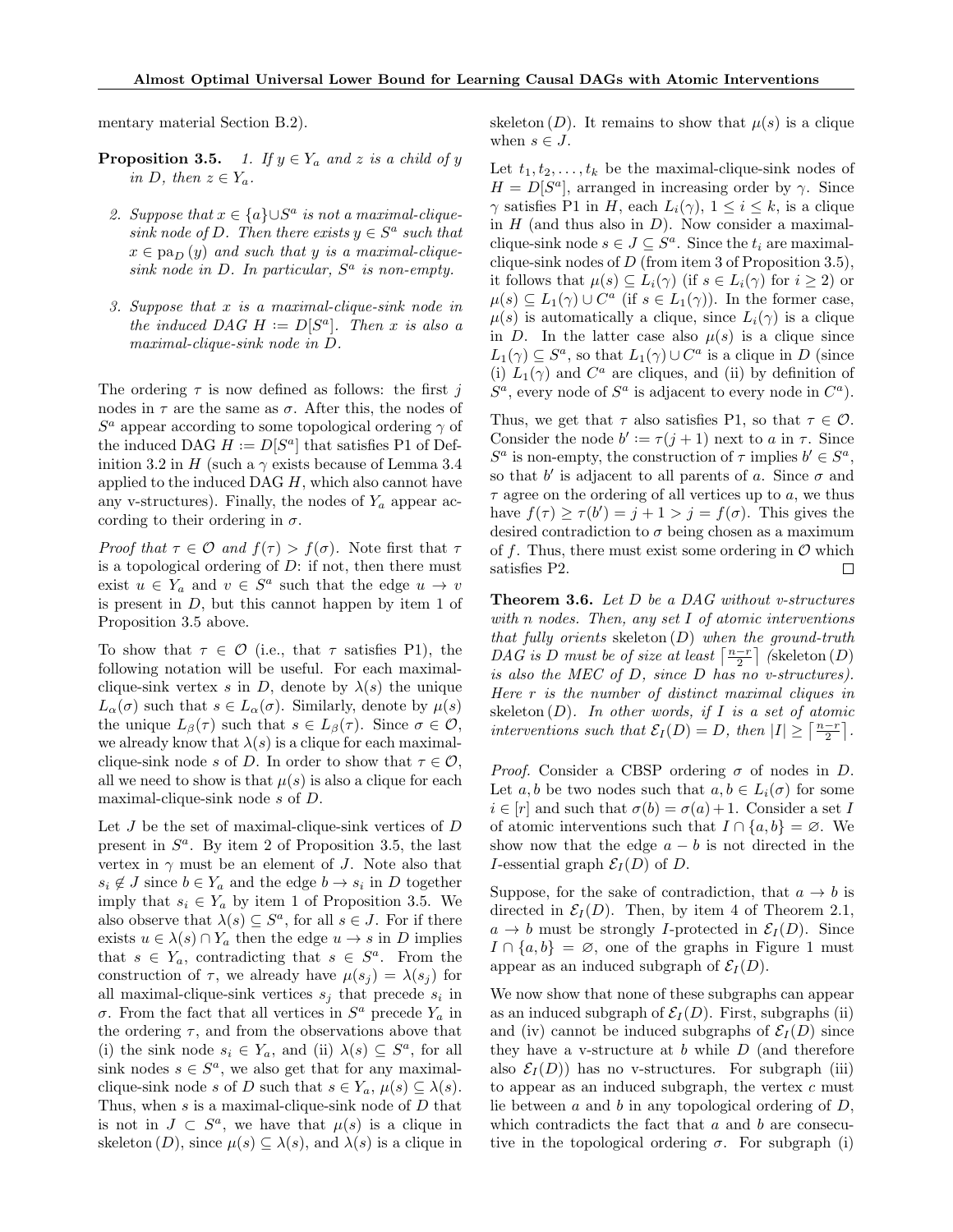mentary material Section B.2).

- **Proposition 3.5.** 1. If  $y \in Y_a$  and z is a child of y in D, then  $z \in Y_a$ .
	- 2. Suppose that  $x \in \{a\} \cup S^a$  is not a maximal-cliquesink node of D. Then there exists  $y \in S^a$  such that  $x \in pa_D(y)$  and such that y is a maximal-cliquesink node in  $D$ . In particular,  $S^a$  is non-empty.
- 3. Suppose that x is a maximal-clique-sink node in the induced DAG  $H := D[S^a]$ . Then x is also a maximal-clique-sink node in D.

The ordering  $\tau$  is now defined as follows: the first j nodes in  $\tau$  are the same as  $\sigma$ . After this, the nodes of  $S^a$  appear according to some topological ordering  $\gamma$  of the induced DAG  $H := D[S^a]$  that satisfies P1 of Definition 3.2 in H (such a  $\gamma$  exists because of Lemma 3.4 applied to the induced DAG  $H$ , which also cannot have any v-structures). Finally, the nodes of  $Y_a$  appear according to their ordering in  $\sigma$ .

Proof that  $\tau \in \mathcal{O}$  and  $f(\tau) > f(\sigma)$ . Note first that  $\tau$ is a topological ordering of  $D$ : if not, then there must exist  $u \in Y_a$  and  $v \in S^a$  such that the edge  $u \to v$ is present in  $D$ , but this cannot happen by item 1 of Proposition 3.5 above.

To show that  $\tau \in \mathcal{O}$  (i.e., that  $\tau$  satisfies P1), the following notation will be useful. For each maximalclique-sink vertex s in D, denote by  $\lambda(s)$  the unique  $L_{\alpha}(\sigma)$  such that  $s \in L_{\alpha}(\sigma)$ . Similarly, denote by  $\mu(s)$ the unique  $L_{\beta}(\tau)$  such that  $s \in L_{\beta}(\tau)$ . Since  $\sigma \in \mathcal{O}$ , we already know that  $\lambda(s)$  is a clique for each maximalclique-sink node s of D. In order to show that  $\tau \in \mathcal{O}$ , all we need to show is that  $\mu(s)$  is also a clique for each maximal-clique-sink node s of D.

Let  $J$  be the set of maximal-clique-sink vertices of  $D$ present in  $S^a$ . By item 2 of Proposition 3.5, the last vertex in  $\gamma$  must be an element of J. Note also that  $s_i \notin J$  since  $b \in Y_a$  and the edge  $b \to s_i$  in D together imply that  $s_i \in Y_a$  by item 1 of Proposition 3.5. We also observe that  $\lambda(s) \subseteq S^a$ , for all  $s \in J$ . For if there exists  $u \in \lambda(s) \cap Y_a$  then the edge  $u \to s$  in D implies that  $s \in Y_a$ , contradicting that  $s \in S^a$ . From the construction of  $\tau$ , we already have  $\mu(s_j) = \lambda(s_j)$  for all maximal-clique-sink vertices  $s_j$  that precede  $s_i$  in σ. From the fact that all vertices in  $S^a$  precede  $Y_a$  in the ordering  $\tau$ , and from the observations above that (i) the sink node  $s_i \in Y_a$ , and (ii)  $\lambda(s) \subseteq S^a$ , for all sink nodes  $s \in S^a$ , we also get that for any maximalclique-sink node s of D such that  $s \in Y_a$ ,  $\mu(s) \subseteq \lambda(s)$ . Thus, when s is a maximal-clique-sink node of D that is not in  $J \subset S^a$ , we have that  $\mu(s)$  is a clique in skeleton  $(D)$ , since  $\mu(s) \subseteq \lambda(s)$ , and  $\lambda(s)$  is a clique in skeleton  $(D)$ . It remains to show that  $\mu(s)$  is a clique when  $s \in J$ .

Let  $t_1, t_2, \ldots, t_k$  be the maximal-clique-sink nodes of  $H = D[S^a]$ , arranged in increasing order by  $\gamma$ . Since  $\gamma$  satisfies P1 in H, each  $L_i(\gamma)$ ,  $1 \leq i \leq k$ , is a clique in  $H$  (and thus also in  $D$ ). Now consider a maximalclique-sink node  $s \in J \subseteq S^a$ . Since the  $t_i$  are maximalclique-sink nodes of  $D$  (from item 3 of Proposition 3.5), it follows that  $\mu(s) \subseteq L_i(\gamma)$  (if  $s \in L_i(\gamma)$  for  $i \geq 2$ ) or  $\mu(s) \subseteq L_1(\gamma) \cup C^a$  (if  $s \in L_1(\gamma)$ ). In the former case,  $\mu(s)$  is automatically a clique, since  $L_i(\gamma)$  is a clique in D. In the latter case also  $\mu(s)$  is a clique since  $L_1(\gamma) \subseteq S^a$ , so that  $L_1(\gamma) \cup C^a$  is a clique in D (since (i)  $L_1(\gamma)$  and  $C^a$  are cliques, and (ii) by definition of  $S^a$ , every node of  $S^a$  is adjacent to every node in  $C^a$ ).

Thus, we get that  $\tau$  also satisfies P1, so that  $\tau \in \mathcal{O}$ . Consider the node  $b' := \tau(j + 1)$  next to a in  $\tau$ . Since  $S^a$  is non-empty, the construction of  $\tau$  implies  $b' \in S^a$ , so that  $b'$  is adjacent to all parents of a. Since  $\sigma$  and  $\tau$  agree on the ordering of all vertices up to a, we thus have  $f(\tau) \geq \tau(b') = j + 1 > j = f(\sigma)$ . This gives the desired contradiction to  $\sigma$  being chosen as a maximum of f. Thus, there must exist some ordering in  $\mathcal O$  which satisfies P2.  $\Box$ 

Theorem 3.6. Let D be a DAG without v-structures with n nodes. Then, any set I of atomic interventions that fully orients skeleton  $(D)$  when the ground-truth DAG is D must be of size at least  $\left\lceil \frac{n-r}{2} \right\rceil$  (skeleton  $(D)$ ) is also the MEC of D, since D has no v-structures). Here r is the number of distinct maximal cliques in skeleton  $(D)$ . In other words, if I is a set of atomic interventions such that  $\mathcal{E}_I(D) = D$ , then  $|I| \geq \left\lceil \frac{n-r}{2} \right\rceil$ .

*Proof.* Consider a CBSP ordering  $\sigma$  of nodes in D. Let a, b be two nodes such that  $a, b \in L_i(\sigma)$  for some  $i \in [r]$  and such that  $\sigma(b) = \sigma(a) + 1$ . Consider a set I of atomic interventions such that  $I \cap \{a, b\} = \emptyset$ . We show now that the edge  $a - b$  is not directed in the *I*-essential graph  $\mathcal{E}_I(D)$  of *D*.

Suppose, for the sake of contradiction, that  $a \to b$  is directed in  $\mathcal{E}_I(D)$ . Then, by item 4 of Theorem 2.1,  $a \rightarrow b$  must be strongly *I*-protected in  $\mathcal{E}_I(D)$ . Since  $I \cap \{a, b\} = \emptyset$ , one of the graphs in Figure 1 must appear as an induced subgraph of  $\mathcal{E}_I(D)$ .

We now show that none of these subgraphs can appear as an induced subgraph of  $\mathcal{E}_I(D)$ . First, subgraphs (ii) and (iv) cannot be induced subgraphs of  $\mathcal{E}_I(D)$  since they have a v-structure at  $b$  while  $D$  (and therefore also  $\mathcal{E}_I(D)$  has no v-structures. For subgraph (iii) to appear as an induced subgraph, the vertex  $c$  must lie between  $a$  and  $b$  in any topological ordering of  $D$ , which contradicts the fact that  $a$  and  $b$  are consecutive in the topological ordering  $\sigma$ . For subgraph (i)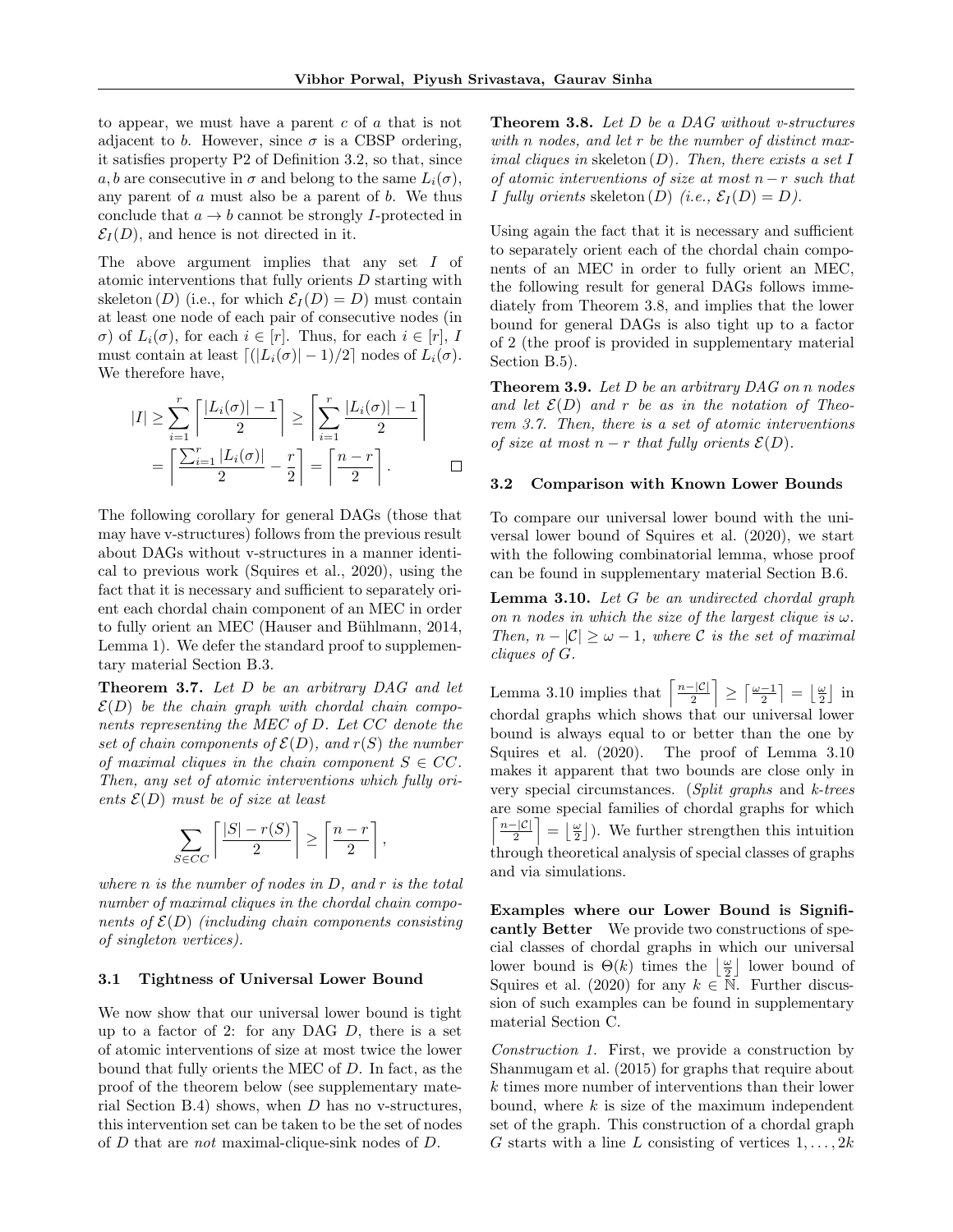to appear, we must have a parent  $c$  of  $a$  that is not adjacent to b. However, since  $\sigma$  is a CBSP ordering, it satisfies property P2 of Definition 3.2, so that, since a, b are consecutive in  $\sigma$  and belong to the same  $L_i(\sigma)$ , any parent of  $a$  must also be a parent of  $b$ . We thus conclude that  $a \rightarrow b$  cannot be strongly I-protected in  $\mathcal{E}_I(D)$ , and hence is not directed in it.

The above argument implies that any set I of atomic interventions that fully orients D starting with skeleton (D) (i.e., for which  $\mathcal{E}_I(D) = D$ ) must contain at least one node of each pair of consecutive nodes (in  $\sigma$ ) of  $L_i(\sigma)$ , for each  $i \in [r]$ . Thus, for each  $i \in [r]$ , I must contain at least  $\lceil (|L_i(\sigma)| - 1)/2 \rceil$  nodes of  $L_i(\sigma)$ . We therefore have,

$$
|I| \geq \sum_{i=1}^{r} \left\lceil \frac{|L_i(\sigma)| - 1}{2} \right\rceil \geq \left\lceil \sum_{i=1}^{r} \frac{|L_i(\sigma)| - 1}{2} \right\rceil
$$

$$
= \left\lceil \frac{\sum_{i=1}^{r} |L_i(\sigma)|}{2} - \frac{r}{2} \right\rceil = \left\lceil \frac{n - r}{2} \right\rceil.
$$

The following corollary for general DAGs (those that may have v-structures) follows from the previous result about DAGs without v-structures in a manner identical to previous work (Squires et al., 2020), using the fact that it is necessary and sufficient to separately orient each chordal chain component of an MEC in order to fully orient an MEC (Hauser and Bühlmann, 2014, Lemma 1). We defer the standard proof to supplementary material Section B.3.

Theorem 3.7. Let D be an arbitrary DAG and let  $\mathcal{E}(D)$  be the chain graph with chordal chain components representing the MEC of D. Let CC denote the set of chain components of  $\mathcal{E}(D)$ , and  $r(S)$  the number of maximal cliques in the chain component  $S \in CC$ . Then, any set of atomic interventions which fully orients  $\mathcal{E}(D)$  must be of size at least

$$
\sum_{S \in CC} \left\lceil \frac{|S| - r(S)}{2} \right\rceil \ge \left\lceil \frac{n - r}{2} \right\rceil,
$$

where  $n$  is the number of nodes in  $D$ , and  $r$  is the total number of maximal cliques in the chordal chain components of  $\mathcal{E}(D)$  (including chain components consisting of singleton vertices).

### 3.1 Tightness of Universal Lower Bound

We now show that our universal lower bound is tight up to a factor of 2: for any DAG  $D$ , there is a set of atomic interventions of size at most twice the lower bound that fully orients the MEC of D. In fact, as the proof of the theorem below (see supplementary material Section B.4) shows, when  $D$  has no v-structures, this intervention set can be taken to be the set of nodes of D that are not maximal-clique-sink nodes of D.

Theorem 3.8. Let D be a DAG without v-structures with n nodes, and let r be the number of distinct maximal cliques in skeleton  $(D)$ . Then, there exists a set I of atomic interventions of size at most  $n - r$  such that I fully orients skeleton  $(D)$  (i.e.,  $\mathcal{E}_I(D) = D$ ).

Using again the fact that it is necessary and sufficient to separately orient each of the chordal chain components of an MEC in order to fully orient an MEC, the following result for general DAGs follows immediately from Theorem 3.8, and implies that the lower bound for general DAGs is also tight up to a factor of 2 (the proof is provided in supplementary material Section B.5).

**Theorem 3.9.** Let  $D$  be an arbitrary  $DAG$  on n nodes and let  $\mathcal{E}(D)$  and r be as in the notation of Theorem 3.7. Then, there is a set of atomic interventions of size at most  $n - r$  that fully orients  $\mathcal{E}(D)$ .

### 3.2 Comparison with Known Lower Bounds

To compare our universal lower bound with the universal lower bound of Squires et al. (2020), we start with the following combinatorial lemma, whose proof can be found in supplementary material Section B.6.

**Lemma 3.10.** Let  $G$  be an undirected chordal graph on n nodes in which the size of the largest clique is  $\omega$ . Then,  $n - |\mathcal{C}| > \omega - 1$ , where C is the set of maximal cliques of G.

Lemma 3.10 implies that  $\left\lceil \frac{n-|\mathcal{C}|}{2} \right\rceil$  $\left\lfloor \frac{C}{2} \right\rfloor \geq \left\lceil \frac{\omega-1}{2} \right\rceil = \left\lfloor \frac{\omega}{2} \right\rfloor$  in chordal graphs which shows that our universal lower bound is always equal to or better than the one by Squires et al. (2020). The proof of Lemma 3.10 makes it apparent that two bounds are close only in very special circumstances. (Split graphs and k-trees are some special families of chordal graphs for which  $\lceil \frac{n-|\mathcal{C}|}{\lceil \frac{m-1}{2} \rceil} \rceil$  $\left[\frac{|C|}{2}\right] = \left[\frac{\omega}{2}\right]$ . We further strengthen this intuition through theoretical analysis of special classes of graphs and via simulations.

Examples where our Lower Bound is Significantly Better We provide two constructions of special classes of chordal graphs in which our universal lower bound is  $\Theta(k)$  times the  $\left\lfloor \frac{\omega}{2} \right\rfloor$  lower bound of Squires et al. (2020) for any  $k \in \mathbb{N}$ . Further discussion of such examples can be found in supplementary material Section C.

Construction 1. First, we provide a construction by Shanmugam et al. (2015) for graphs that require about k times more number of interventions than their lower bound, where  $k$  is size of the maximum independent set of the graph. This construction of a chordal graph G starts with a line L consisting of vertices  $1, \ldots, 2k$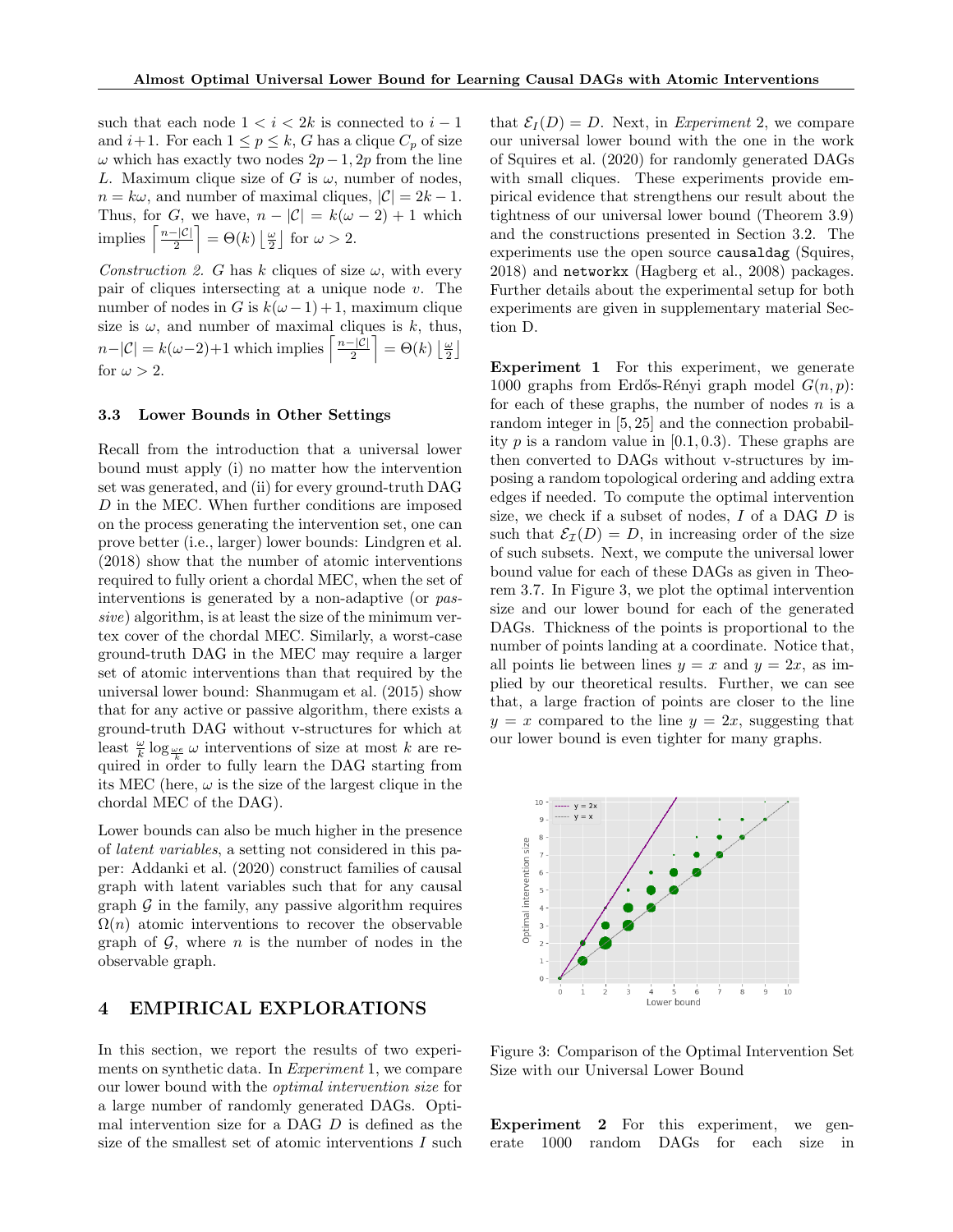such that each node  $1 < i < 2k$  is connected to  $i - 1$ and  $i+1$ . For each  $1 \leq p \leq k$ , G has a clique  $C_p$  of size  $\omega$  which has exactly two nodes  $2p-1$ , 2p from the line L. Maximum clique size of G is  $\omega$ , number of nodes,  $n = k\omega$ , and number of maximal cliques,  $|\mathcal{C}| = 2k - 1$ . Thus, for G, we have,  $n - |\mathcal{C}| = k(\omega - 2) + 1$  which implies  $\left\lceil \frac{n-|\mathcal{C}|}{2} \right\rceil$  $\left[\frac{|\mathcal{C}|}{2}\right] = \Theta(k) \left[\frac{\omega}{2}\right]$  for  $\omega > 2$ .

Construction 2. G has k cliques of size  $\omega$ , with every pair of cliques intersecting at a unique node  $v$ . The number of nodes in G is  $k(\omega - 1) + 1$ , maximum clique size is  $\omega$ , and number of maximal cliques is k, thus,  $n-|\mathcal{C}| = k(\omega-2)+1$  which implies  $\left\lceil \frac{n-|\mathcal{C}|}{2} \right\rceil$  $\left\lfloor\frac{|{\cal C}|}{2}\right\rfloor = \Theta(k) \left\lfloor\frac{\omega}{2}\right\rfloor$ for  $\omega > 2$ .

## 3.3 Lower Bounds in Other Settings

Recall from the introduction that a universal lower bound must apply (i) no matter how the intervention set was generated, and (ii) for every ground-truth DAG D in the MEC. When further conditions are imposed on the process generating the intervention set, one can prove better (i.e., larger) lower bounds: Lindgren et al. (2018) show that the number of atomic interventions required to fully orient a chordal MEC, when the set of interventions is generated by a non-adaptive (or passive) algorithm, is at least the size of the minimum vertex cover of the chordal MEC. Similarly, a worst-case ground-truth DAG in the MEC may require a larger set of atomic interventions than that required by the universal lower bound: Shanmugam et al. (2015) show that for any active or passive algorithm, there exists a ground-truth DAG without v-structures for which at least  $\frac{\omega}{k} \log_{\frac{\omega e}{k}} \omega$  interventions of size at most k are required in order to fully learn the DAG starting from its MEC (here,  $\omega$  is the size of the largest clique in the chordal MEC of the DAG).

Lower bounds can also be much higher in the presence of latent variables, a setting not considered in this paper: Addanki et al. (2020) construct families of causal graph with latent variables such that for any causal graph  $\mathcal G$  in the family, any passive algorithm requires  $\Omega(n)$  atomic interventions to recover the observable graph of  $G$ , where *n* is the number of nodes in the observable graph.

## 4 EMPIRICAL EXPLORATIONS

In this section, we report the results of two experiments on synthetic data. In Experiment 1, we compare our lower bound with the optimal intervention size for a large number of randomly generated DAGs. Optimal intervention size for a DAG D is defined as the size of the smallest set of atomic interventions I such that  $\mathcal{E}_I(D) = D$ . Next, in *Experiment* 2, we compare our universal lower bound with the one in the work of Squires et al. (2020) for randomly generated DAGs with small cliques. These experiments provide empirical evidence that strengthens our result about the tightness of our universal lower bound (Theorem 3.9) and the constructions presented in Section 3.2. The experiments use the open source causaldag (Squires, 2018) and networkx (Hagberg et al., 2008) packages. Further details about the experimental setup for both experiments are given in supplementary material Section D.

Experiment 1 For this experiment, we generate 1000 graphs from Erdős-Rényi graph model  $G(n, p)$ : for each of these graphs, the number of nodes  $n$  is a random integer in [5, 25] and the connection probability p is a random value in  $[0.1, 0.3)$ . These graphs are then converted to DAGs without v-structures by imposing a random topological ordering and adding extra edges if needed. To compute the optimal intervention size, we check if a subset of nodes, I of a DAG D is such that  $\mathcal{E}_{\mathcal{I}}(D) = D$ , in increasing order of the size of such subsets. Next, we compute the universal lower bound value for each of these DAGs as given in Theorem 3.7. In Figure 3, we plot the optimal intervention size and our lower bound for each of the generated DAGs. Thickness of the points is proportional to the number of points landing at a coordinate. Notice that, all points lie between lines  $y = x$  and  $y = 2x$ , as implied by our theoretical results. Further, we can see that, a large fraction of points are closer to the line  $y = x$  compared to the line  $y = 2x$ , suggesting that our lower bound is even tighter for many graphs.



Figure 3: Comparison of the Optimal Intervention Set Size with our Universal Lower Bound

Experiment 2 For this experiment, we generate 1000 random DAGs for each size in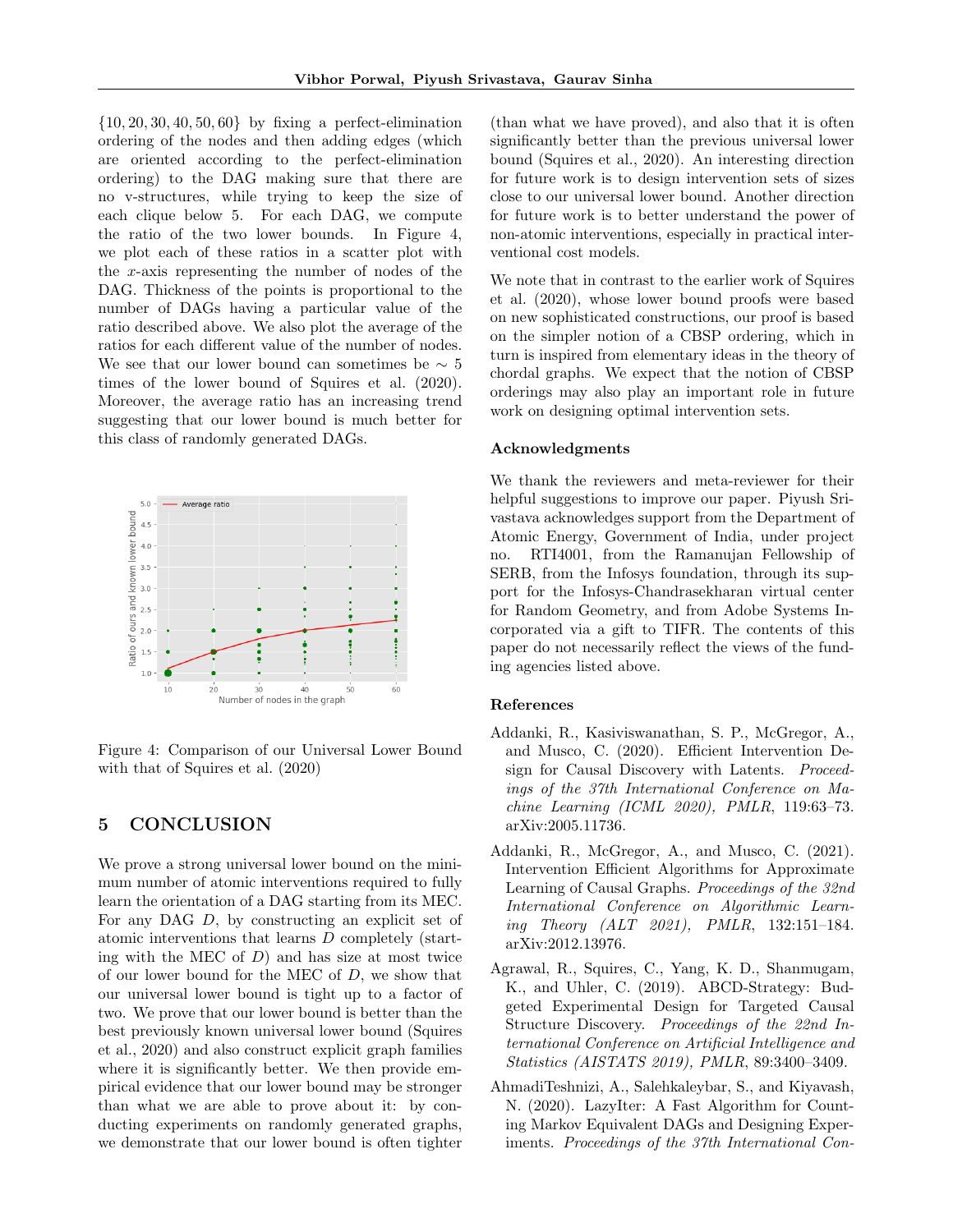$\{10, 20, 30, 40, 50, 60\}$  by fixing a perfect-elimination ordering of the nodes and then adding edges (which are oriented according to the perfect-elimination ordering) to the DAG making sure that there are no v-structures, while trying to keep the size of each clique below 5. For each DAG, we compute the ratio of the two lower bounds. In Figure 4, we plot each of these ratios in a scatter plot with the x-axis representing the number of nodes of the DAG. Thickness of the points is proportional to the number of DAGs having a particular value of the ratio described above. We also plot the average of the ratios for each different value of the number of nodes. We see that our lower bound can sometimes be  $\sim 5$ times of the lower bound of Squires et al. (2020). Moreover, the average ratio has an increasing trend suggesting that our lower bound is much better for this class of randomly generated DAGs.



Figure 4: Comparison of our Universal Lower Bound with that of Squires et al. (2020)

## 5 CONCLUSION

We prove a strong universal lower bound on the minimum number of atomic interventions required to fully learn the orientation of a DAG starting from its MEC. For any DAG D, by constructing an explicit set of atomic interventions that learns D completely (starting with the MEC of  $D$ ) and has size at most twice of our lower bound for the MEC of D, we show that our universal lower bound is tight up to a factor of two. We prove that our lower bound is better than the best previously known universal lower bound (Squires et al., 2020) and also construct explicit graph families where it is significantly better. We then provide empirical evidence that our lower bound may be stronger than what we are able to prove about it: by conducting experiments on randomly generated graphs, we demonstrate that our lower bound is often tighter

(than what we have proved), and also that it is often significantly better than the previous universal lower bound (Squires et al., 2020). An interesting direction for future work is to design intervention sets of sizes close to our universal lower bound. Another direction for future work is to better understand the power of non-atomic interventions, especially in practical interventional cost models.

We note that in contrast to the earlier work of Squires et al. (2020), whose lower bound proofs were based on new sophisticated constructions, our proof is based on the simpler notion of a CBSP ordering, which in turn is inspired from elementary ideas in the theory of chordal graphs. We expect that the notion of CBSP orderings may also play an important role in future work on designing optimal intervention sets.

### Acknowledgments

We thank the reviewers and meta-reviewer for their helpful suggestions to improve our paper. Piyush Srivastava acknowledges support from the Department of Atomic Energy, Government of India, under project no. RTI4001, from the Ramanujan Fellowship of SERB, from the Infosys foundation, through its support for the Infosys-Chandrasekharan virtual center for Random Geometry, and from Adobe Systems Incorporated via a gift to TIFR. The contents of this paper do not necessarily reflect the views of the funding agencies listed above.

#### References

- Addanki, R., Kasiviswanathan, S. P., McGregor, A., and Musco, C. (2020). Efficient Intervention Design for Causal Discovery with Latents. Proceedings of the 37th International Conference on Machine Learning (ICML 2020), PMLR, 119:63–73. arXiv:2005.11736.
- Addanki, R., McGregor, A., and Musco, C. (2021). Intervention Efficient Algorithms for Approximate Learning of Causal Graphs. Proceedings of the 32nd International Conference on Algorithmic Learning Theory (ALT 2021), PMLR, 132:151–184. arXiv:2012.13976.
- Agrawal, R., Squires, C., Yang, K. D., Shanmugam, K., and Uhler, C. (2019). ABCD-Strategy: Budgeted Experimental Design for Targeted Causal Structure Discovery. Proceedings of the 22nd International Conference on Artificial Intelligence and Statistics (AISTATS 2019), PMLR, 89:3400–3409.
- AhmadiTeshnizi, A., Salehkaleybar, S., and Kiyavash, N. (2020). LazyIter: A Fast Algorithm for Counting Markov Equivalent DAGs and Designing Experiments. Proceedings of the 37th International Con-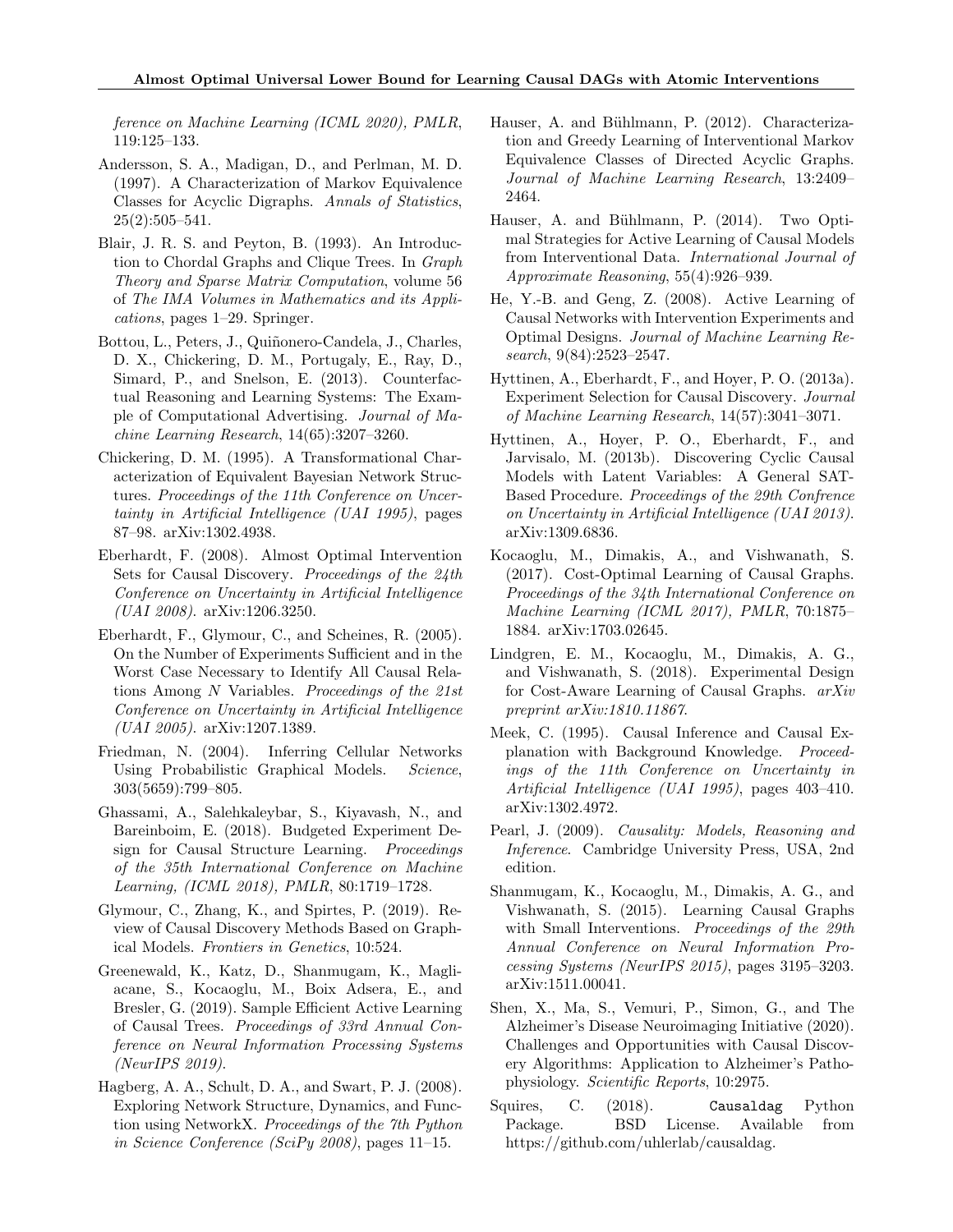ference on Machine Learning (ICML 2020), PMLR, 119:125–133.

- Andersson, S. A., Madigan, D., and Perlman, M. D. (1997). A Characterization of Markov Equivalence Classes for Acyclic Digraphs. Annals of Statistics,  $25(2):505-541.$
- Blair, J. R. S. and Peyton, B. (1993). An Introduction to Chordal Graphs and Clique Trees. In Graph Theory and Sparse Matrix Computation, volume 56 of The IMA Volumes in Mathematics and its Applications, pages 1–29. Springer.
- Bottou, L., Peters, J., Quiñonero-Candela, J., Charles, D. X., Chickering, D. M., Portugaly, E., Ray, D., Simard, P., and Snelson, E. (2013). Counterfactual Reasoning and Learning Systems: The Example of Computational Advertising. Journal of Machine Learning Research, 14(65):3207–3260.
- Chickering, D. M. (1995). A Transformational Characterization of Equivalent Bayesian Network Structures. Proceedings of the 11th Conference on Uncertainty in Artificial Intelligence (UAI 1995), pages 87–98. arXiv:1302.4938.
- Eberhardt, F. (2008). Almost Optimal Intervention Sets for Causal Discovery. Proceedings of the 24th Conference on Uncertainty in Artificial Intelligence (UAI 2008). arXiv:1206.3250.
- Eberhardt, F., Glymour, C., and Scheines, R. (2005). On the Number of Experiments Sufficient and in the Worst Case Necessary to Identify All Causal Relations Among N Variables. Proceedings of the 21st Conference on Uncertainty in Artificial Intelligence (UAI 2005). arXiv:1207.1389.
- Friedman, N. (2004). Inferring Cellular Networks Using Probabilistic Graphical Models. Science, 303(5659):799–805.
- Ghassami, A., Salehkaleybar, S., Kiyavash, N., and Bareinboim, E. (2018). Budgeted Experiment Design for Causal Structure Learning. Proceedings of the 35th International Conference on Machine Learning, (ICML 2018), PMLR, 80:1719–1728.
- Glymour, C., Zhang, K., and Spirtes, P. (2019). Review of Causal Discovery Methods Based on Graphical Models. Frontiers in Genetics, 10:524.
- Greenewald, K., Katz, D., Shanmugam, K., Magliacane, S., Kocaoglu, M., Boix Adsera, E., and Bresler, G. (2019). Sample Efficient Active Learning of Causal Trees. Proceedings of 33rd Annual Conference on Neural Information Processing Systems (NeurIPS 2019).
- Hagberg, A. A., Schult, D. A., and Swart, P. J. (2008). Exploring Network Structure, Dynamics, and Function using NetworkX. Proceedings of the 7th Python in Science Conference (SciPy 2008), pages 11–15.
- Hauser, A. and Bühlmann, P. (2012). Characterization and Greedy Learning of Interventional Markov Equivalence Classes of Directed Acyclic Graphs. Journal of Machine Learning Research, 13:2409– 2464.
- Hauser, A. and Bühlmann, P. (2014). Two Optimal Strategies for Active Learning of Causal Models from Interventional Data. International Journal of Approximate Reasoning, 55(4):926–939.
- He, Y.-B. and Geng, Z. (2008). Active Learning of Causal Networks with Intervention Experiments and Optimal Designs. Journal of Machine Learning Research, 9(84):2523–2547.
- Hyttinen, A., Eberhardt, F., and Hoyer, P. O. (2013a). Experiment Selection for Causal Discovery. Journal of Machine Learning Research, 14(57):3041–3071.
- Hyttinen, A., Hoyer, P. O., Eberhardt, F., and Jarvisalo, M. (2013b). Discovering Cyclic Causal Models with Latent Variables: A General SAT-Based Procedure. Proceedings of the 29th Confrence on Uncertainty in Artificial Intelligence (UAI 2013). arXiv:1309.6836.
- Kocaoglu, M., Dimakis, A., and Vishwanath, S. (2017). Cost-Optimal Learning of Causal Graphs. Proceedings of the 34th International Conference on Machine Learning (ICML 2017), PMLR, 70:1875– 1884. arXiv:1703.02645.
- Lindgren, E. M., Kocaoglu, M., Dimakis, A. G., and Vishwanath, S. (2018). Experimental Design for Cost-Aware Learning of Causal Graphs. arXiv preprint arXiv:1810.11867.
- Meek, C. (1995). Causal Inference and Causal Explanation with Background Knowledge. Proceedings of the 11th Conference on Uncertainty in Artificial Intelligence (UAI 1995), pages 403–410. arXiv:1302.4972.
- Pearl, J. (2009). Causality: Models, Reasoning and Inference. Cambridge University Press, USA, 2nd edition.
- Shanmugam, K., Kocaoglu, M., Dimakis, A. G., and Vishwanath, S. (2015). Learning Causal Graphs with Small Interventions. Proceedings of the 29th Annual Conference on Neural Information Processing Systems (NeurIPS 2015), pages 3195–3203. arXiv:1511.00041.
- Shen, X., Ma, S., Vemuri, P., Simon, G., and The Alzheimer's Disease Neuroimaging Initiative (2020). Challenges and Opportunities with Causal Discovery Algorithms: Application to Alzheimer's Pathophysiology. Scientific Reports, 10:2975.
- Squires, C. (2018). Causaldag Python Package. BSD License. Available from https://github.com/uhlerlab/causaldag.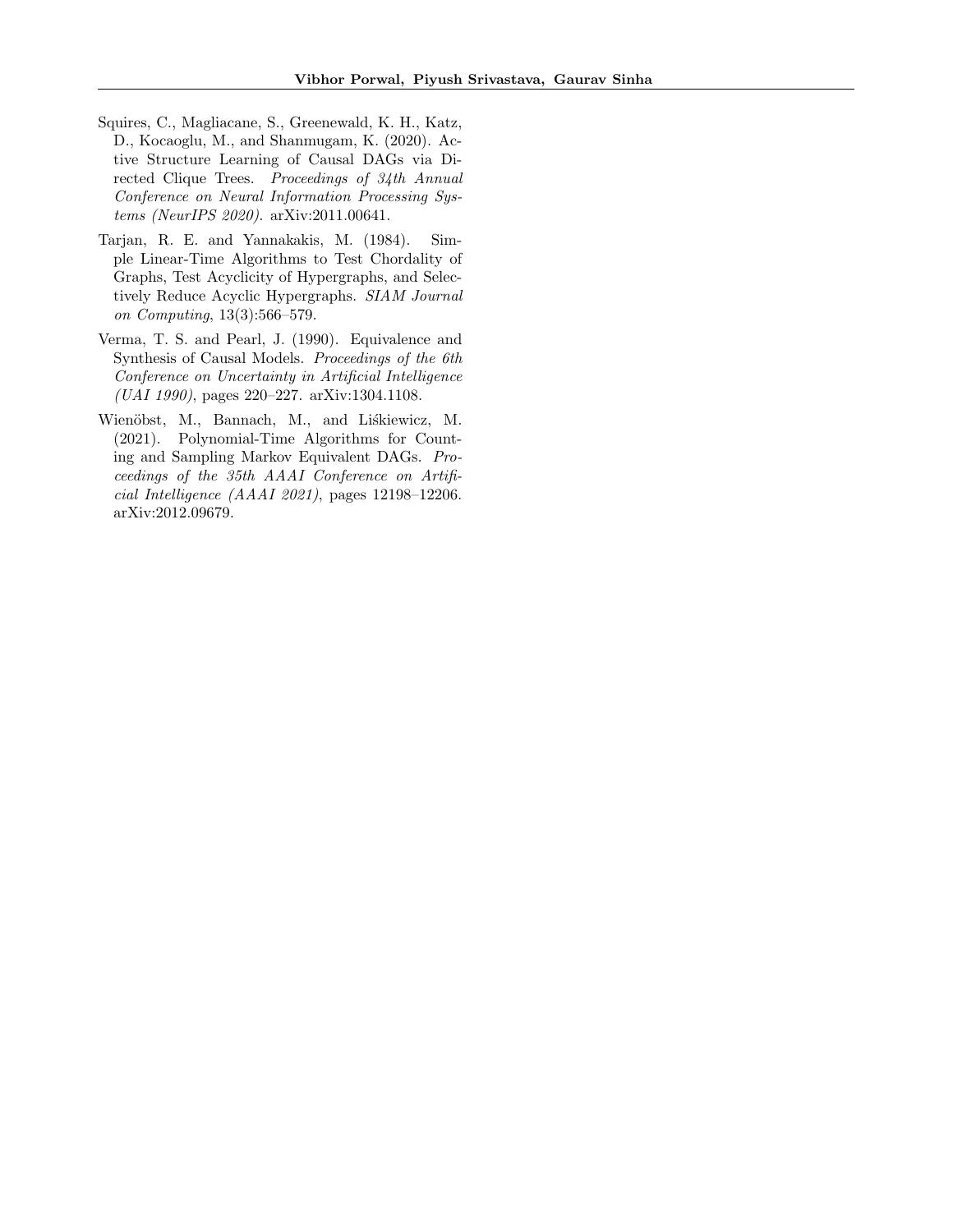- Squires, C., Magliacane, S., Greenewald, K. H., Katz, D., Kocaoglu, M., and Shanmugam, K. (2020). Active Structure Learning of Causal DAGs via Directed Clique Trees. Proceedings of 34th Annual Conference on Neural Information Processing Systems (NeurIPS 2020). arXiv:2011.00641.
- Tarjan, R. E. and Yannakakis, M. (1984). Simple Linear-Time Algorithms to Test Chordality of Graphs, Test Acyclicity of Hypergraphs, and Selectively Reduce Acyclic Hypergraphs. SIAM Journal on Computing, 13(3):566–579.
- Verma, T. S. and Pearl, J. (1990). Equivalence and Synthesis of Causal Models. Proceedings of the 6th Conference on Uncertainty in Artificial Intelligence (UAI 1990), pages 220–227. arXiv:1304.1108.
- Wienöbst, M., Bannach, M., and Liskiewicz, M. (2021). Polynomial-Time Algorithms for Counting and Sampling Markov Equivalent DAGs. Proceedings of the 35th AAAI Conference on Artificial Intelligence (AAAI 2021), pages 12198–12206. arXiv:2012.09679.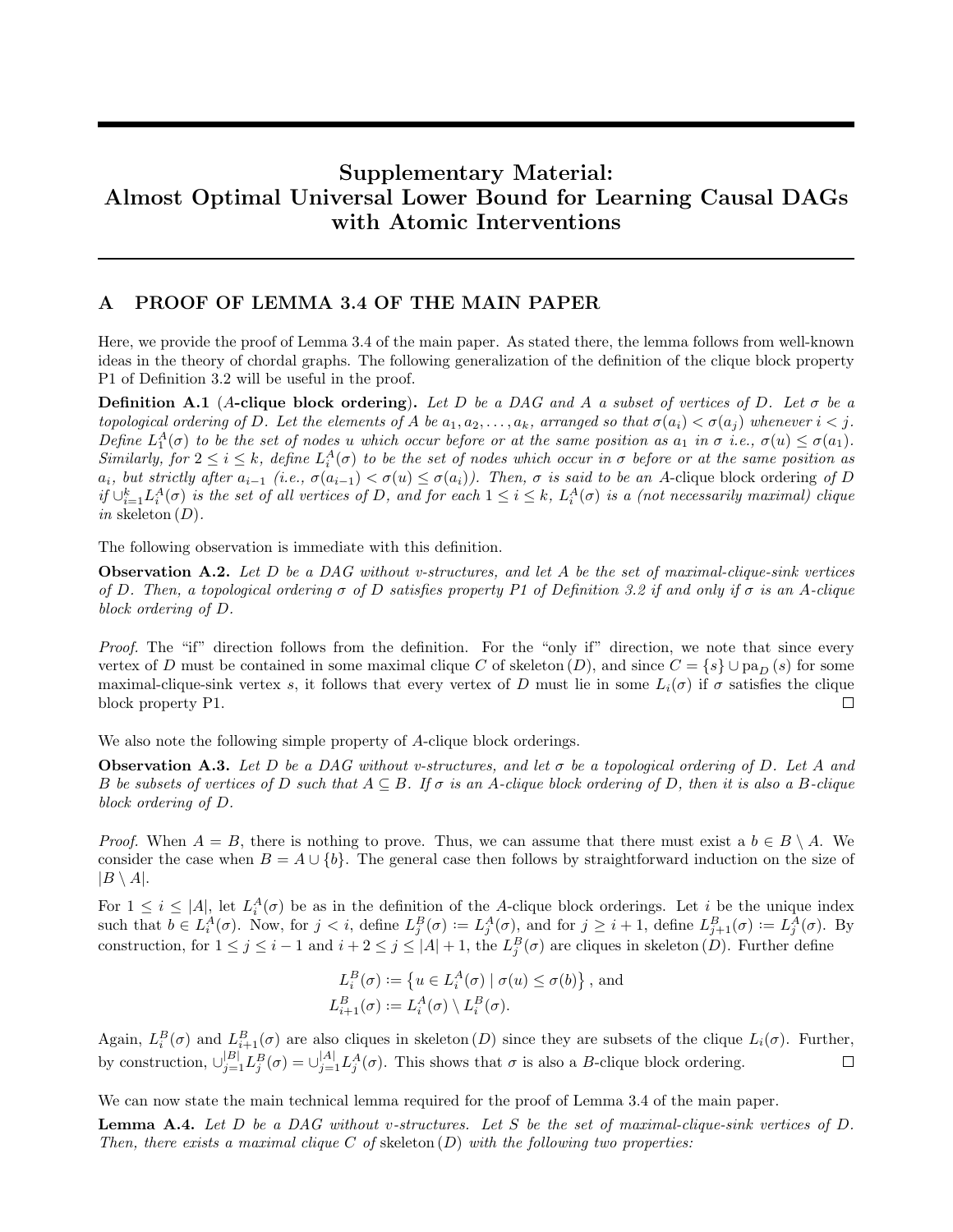# Supplementary Material: Almost Optimal Universal Lower Bound for Learning Causal DAGs with Atomic Interventions

## A PROOF OF LEMMA 3.4 OF THE MAIN PAPER

Here, we provide the proof of Lemma 3.4 of the main paper. As stated there, the lemma follows from well-known ideas in the theory of chordal graphs. The following generalization of the definition of the clique block property P1 of Definition 3.2 will be useful in the proof.

**Definition A.1** (A-clique block ordering). Let D be a DAG and A a subset of vertices of D. Let  $\sigma$  be a topological ordering of D. Let the elements of A be  $a_1, a_2, \ldots, a_k$ , arranged so that  $\sigma(a_i) < \sigma(a_i)$  whenever  $i < j$ . Define  $L_1^A(\sigma)$  to be the set of nodes u which occur before or at the same position as  $a_1$  in  $\sigma$  i.e.,  $\sigma(u) \leq \sigma(a_1)$ . Similarly, for  $2 \le i \le k$ , define  $L_i^A(\sigma)$  to be the set of nodes which occur in  $\sigma$  before or at the same position as  $a_i$ , but strictly after  $a_{i-1}$  (i.e.,  $\sigma(a_{i-1}) < \sigma(u) \leq \sigma(a_i)$ ). Then,  $\sigma$  is said to be an A-clique block ordering of D if  $\cup_{i=1}^k L_i^A(\sigma)$  is the set of all vertices of D, and for each  $1 \le i \le k$ ,  $L_i^A(\sigma)$  is a (not necessarily maximal) clique in skeleton  $(D)$ .

The following observation is immediate with this definition.

**Observation A.2.** Let D be a DAG without v-structures, and let A be the set of maximal-clique-sink vertices of D. Then, a topological ordering  $\sigma$  of D satisfies property P1 of Definition 3.2 if and only if  $\sigma$  is an A-clique block ordering of D.

Proof. The "if" direction follows from the definition. For the "only if" direction, we note that since every vertex of D must be contained in some maximal clique C of skeleton (D), and since  $C = \{s\} \cup pa_D(s)$  for some maximal-clique-sink vertex s, it follows that every vertex of D must lie in some  $L_i(\sigma)$  if  $\sigma$  satisfies the clique block property P1. П

We also note the following simple property of A-clique block orderings.

**Observation A.3.** Let D be a DAG without v-structures, and let  $\sigma$  be a topological ordering of D. Let A and B be subsets of vertices of D such that  $A \subseteq B$ . If  $\sigma$  is an A-clique block ordering of D, then it is also a B-clique block ordering of D.

*Proof.* When  $A = B$ , there is nothing to prove. Thus, we can assume that there must exist a  $b \in B \setminus A$ . We consider the case when  $B = A \cup \{b\}$ . The general case then follows by straightforward induction on the size of  $|B \setminus A|$ .

For  $1 \leq i \leq |A|$ , let  $L_i^A(\sigma)$  be as in the definition of the A-clique block orderings. Let i be the unique index such that  $b \in L_i^A(\sigma)$ . Now, for  $j < i$ , define  $L_j^B(\sigma) := L_j^A(\sigma)$ , and for  $j \geq i+1$ , define  $L_{j+1}^B(\sigma) := L_j^A(\sigma)$ . By construction, for  $1 \leq j \leq i-1$  and  $i+2 \leq j \leq |A|+1$ , the  $L_j^B(\sigma)$  are cliques in skeleton  $(D)$ . Further define

$$
L_i^B(\sigma) := \left\{ u \in L_i^A(\sigma) \mid \sigma(u) \le \sigma(b) \right\},\
$$
and  

$$
L_{i+1}^B(\sigma) := L_i^A(\sigma) \setminus L_i^B(\sigma).
$$

Again,  $L_i^B(\sigma)$  and  $L_{i+1}^B(\sigma)$  are also cliques in skeleton  $(D)$  since they are subsets of the clique  $L_i(\sigma)$ . Further, by construction,  $\bigcup_{j=1}^{|B|} L_j^B(\sigma) = \bigcup_{j=1}^{|A|} L_j^A(\sigma)$ . This shows that  $\sigma$  is also a B-clique block ordering.  $\Box$ 

We can now state the main technical lemma required for the proof of Lemma 3.4 of the main paper.

**Lemma A.4.** Let D be a DAG without v-structures. Let S be the set of maximal-clique-sink vertices of D. Then, there exists a maximal clique  $C$  of skeleton  $(D)$  with the following two properties: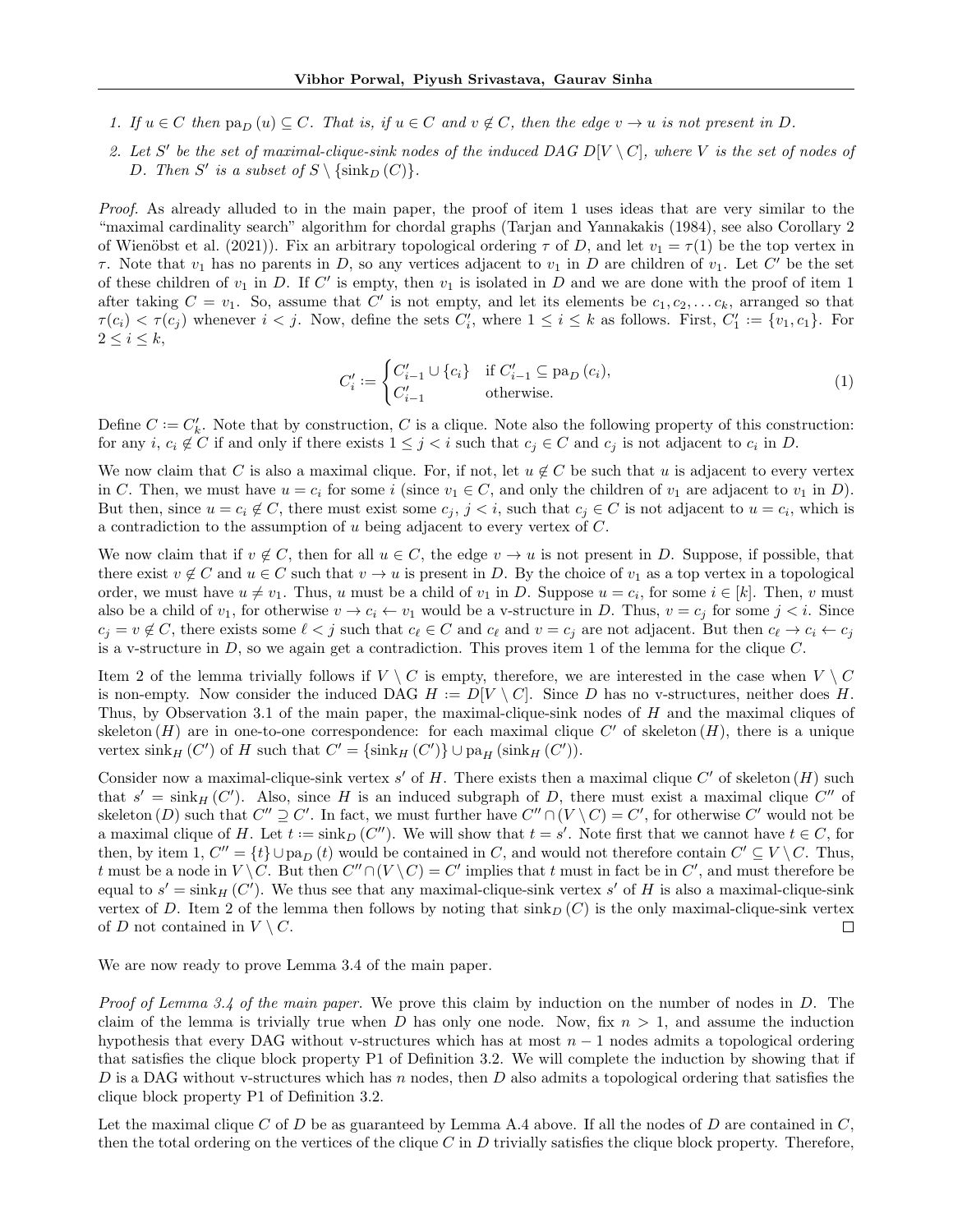- 1. If  $u \in C$  then  $\text{pa}_D(u) \subseteq C$ . That is, if  $u \in C$  and  $v \notin C$ , then the edge  $v \to u$  is not present in D.
- 2. Let S' be the set of maximal-clique-sink nodes of the induced DAG D[V \ C], where V is the set of nodes of D. Then S' is a subset of  $S \setminus \{\sin k_D (C)\}.$

Proof. As already alluded to in the main paper, the proof of item 1 uses ideas that are very similar to the "maximal cardinality search" algorithm for chordal graphs (Tarjan and Yannakakis (1984), see also Corollary 2 of Wienöbst et al. (2021)). Fix an arbitrary topological ordering  $\tau$  of D, and let  $v_1 = \tau(1)$  be the top vertex in  $\tau$ . Note that  $v_1$  has no parents in D, so any vertices adjacent to  $v_1$  in D are children of  $v_1$ . Let C' be the set of these children of  $v_1$  in D. If C' is empty, then  $v_1$  is isolated in D and we are done with the proof of item 1 after taking  $C = v_1$ . So, assume that C' is not empty, and let its elements be  $c_1, c_2, \ldots c_k$ , arranged so that  $\tau(c_i) < \tau(c_j)$  whenever  $i < j$ . Now, define the sets  $C_i'$ , where  $1 \leq i \leq k$  as follows. First,  $C_1' := \{v_1, c_1\}$ . For  $2\leq i\leq k,$ 

$$
C'_{i} := \begin{cases} C'_{i-1} \cup \{c_i\} & \text{if } C'_{i-1} \subseteq \text{pa}_D(c_i), \\ C'_{i-1} & \text{otherwise.} \end{cases}
$$
(1)

Define  $C := C'_{k}$ . Note that by construction, C is a clique. Note also the following property of this construction: for any  $i, c_i \notin C$  if and only if there exists  $1 \leq j < i$  such that  $c_j \in C$  and  $c_j$  is not adjacent to  $c_i$  in D.

We now claim that C is also a maximal clique. For, if not, let  $u \notin C$  be such that u is adjacent to every vertex in C. Then, we must have  $u = c_i$  for some i (since  $v_1 \in C$ , and only the children of  $v_1$  are adjacent to  $v_1$  in D). But then, since  $u = c_i \notin C$ , there must exist some  $c_j$ ,  $j < i$ , such that  $c_j \in C$  is not adjacent to  $u = c_i$ , which is a contradiction to the assumption of u being adjacent to every vertex of C.

We now claim that if  $v \notin C$ , then for all  $u \in C$ , the edge  $v \to u$  is not present in D. Suppose, if possible, that there exist  $v \notin C$  and  $u \in C$  such that  $v \to u$  is present in D. By the choice of  $v_1$  as a top vertex in a topological order, we must have  $u \neq v_1$ . Thus, u must be a child of  $v_1$  in D. Suppose  $u = c_i$ , for some  $i \in [k]$ . Then, v must also be a child of  $v_1$ , for otherwise  $v \to c_i \leftarrow v_1$  would be a v-structure in D. Thus,  $v = c_j$  for some  $j < i$ . Since  $c_j = v \notin C$ , there exists some  $\ell < j$  such that  $c_\ell \in C$  and  $c_\ell$  and  $v = c_j$  are not adjacent. But then  $c_\ell \to c_i \leftarrow c_j$ is a v-structure in  $D$ , so we again get a contradiction. This proves item 1 of the lemma for the clique  $C$ .

Item 2 of the lemma trivially follows if  $V \setminus C$  is empty, therefore, we are interested in the case when  $V \setminus C$ is non-empty. Now consider the induced DAG  $H := D[V \setminus C]$ . Since D has no v-structures, neither does H. Thus, by Observation 3.1 of the main paper, the maximal-clique-sink nodes of H and the maximal cliques of skeleton  $(H)$  are in one-to-one correspondence: for each maximal clique  $C'$  of skeleton  $(H)$ , there is a unique vertex  $\sinh_H(C')$  of H such that  $C' = {\sinh_H(C') } \cup \mathrm{pa}_H(\sinh_H(C')).$ 

Consider now a maximal-clique-sink vertex s' of H. There exists then a maximal clique  $C'$  of skeleton  $(H)$  such that  $s' = \sin k_H (C')$ . Also, since H is an induced subgraph of D, there must exist a maximal clique C'' of skeleton (D) such that  $C'' \supseteq C'$ . In fact, we must further have  $C'' \cap (V \setminus C) = C'$ , for otherwise C' would not be a maximal clique of H. Let  $t := \sin k_D (C'')$ . We will show that  $t = s'$ . Note first that we cannot have  $t \in C$ , for then, by item 1,  $C'' = \{t\} \cup pa_D(t)$  would be contained in C, and would not therefore contain  $C' \subseteq V \setminus C$ . Thus, t must be a node in  $V \setminus C$ . But then  $C'' \cap (V \setminus C) = C'$  implies that t must in fact be in C', and must therefore be equal to  $s' = \sin k_H (C')$ . We thus see that any maximal-clique-sink vertex s' of H is also a maximal-clique-sink vertex of D. Item 2 of the lemma then follows by noting that  $\sin k_D (C)$  is the only maximal-clique-sink vertex of D not contained in  $V \setminus C$ .  $\Box$ 

We are now ready to prove Lemma 3.4 of the main paper.

Proof of Lemma 3.4 of the main paper. We prove this claim by induction on the number of nodes in D. The claim of the lemma is trivially true when D has only one node. Now, fix  $n > 1$ , and assume the induction hypothesis that every DAG without v-structures which has at most  $n - 1$  nodes admits a topological ordering that satisfies the clique block property P1 of Definition 3.2. We will complete the induction by showing that if D is a DAG without v-structures which has n nodes, then D also admits a topological ordering that satisfies the clique block property P1 of Definition 3.2.

Let the maximal clique C of D be as guaranteed by Lemma A.4 above. If all the nodes of D are contained in  $C$ , then the total ordering on the vertices of the clique  $C$  in  $D$  trivially satisfies the clique block property. Therefore,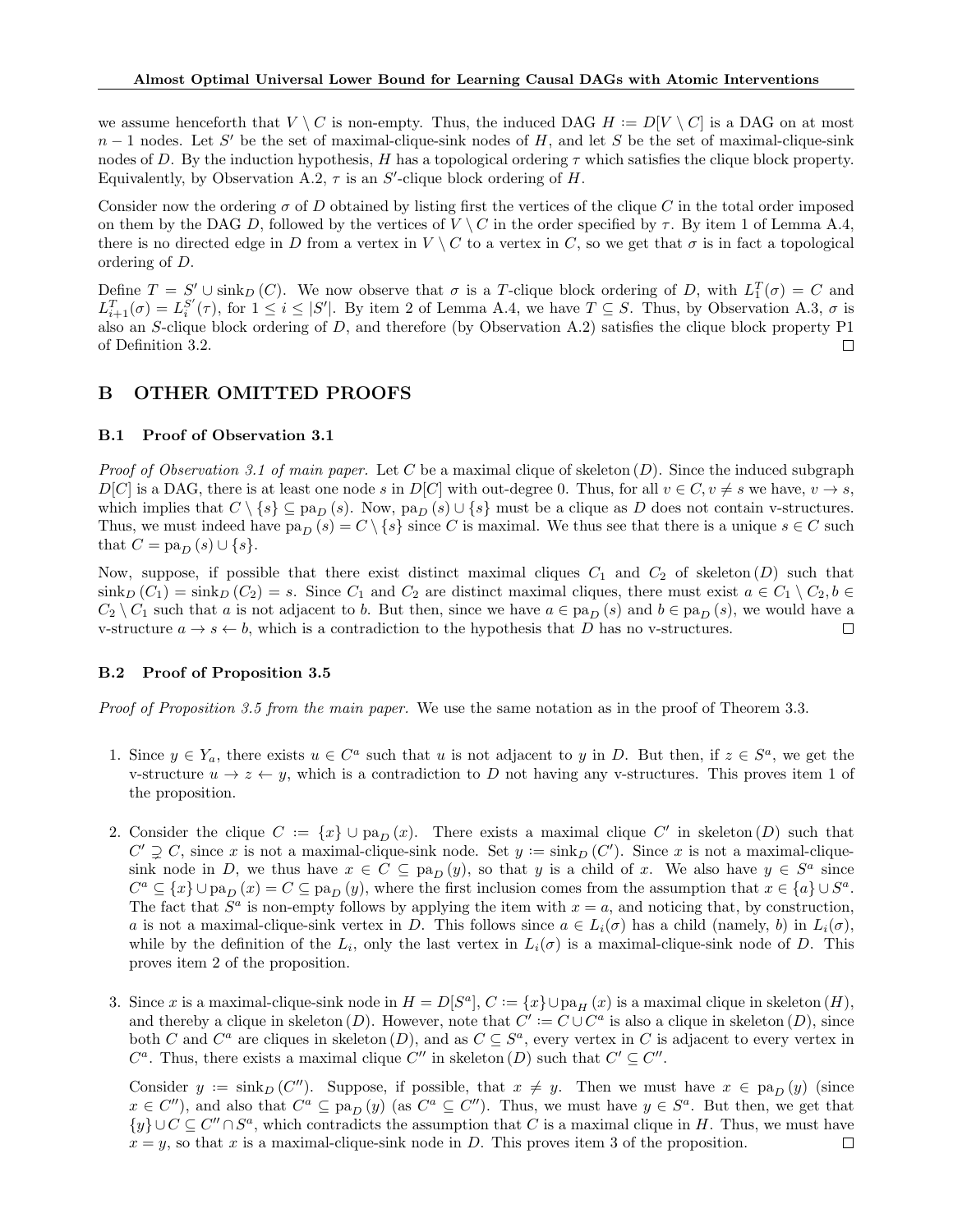we assume henceforth that  $V \setminus C$  is non-empty. Thus, the induced DAG  $H := D[V \setminus C]$  is a DAG on at most  $n-1$  nodes. Let S' be the set of maximal-clique-sink nodes of H, and let S be the set of maximal-clique-sink nodes of D. By the induction hypothesis, H has a topological ordering  $\tau$  which satisfies the clique block property. Equivalently, by Observation A.2,  $\tau$  is an S'-clique block ordering of H.

Consider now the ordering  $\sigma$  of D obtained by listing first the vertices of the clique C in the total order imposed on them by the DAG D, followed by the vertices of  $V \setminus C$  in the order specified by  $\tau$ . By item 1 of Lemma A.4, there is no directed edge in D from a vertex in  $V \setminus C$  to a vertex in C, so we get that  $\sigma$  is in fact a topological ordering of D.

Define  $T = S' \cup \sin k_D (C)$ . We now observe that  $\sigma$  is a T-clique block ordering of D, with  $L_1^T(\sigma) = C$  and  $L_{i+1}^T(\sigma) = L_i^{S'}(\tau)$ , for  $1 \leq i \leq |S'|$ . By item 2 of Lemma A.4, we have  $T \subseteq S$ . Thus, by Observation A.3,  $\sigma$  is also an S-clique block ordering of D, and therefore (by Observation A.2) satisfies the clique block property P1 of Definition 3.2. П

## B OTHER OMITTED PROOFS

## B.1 Proof of Observation 3.1

*Proof of Observation 3.1 of main paper.* Let C be a maximal clique of skeleton  $(D)$ . Since the induced subgraph  $D[C]$  is a DAG, there is at least one node s in  $D[C]$  with out-degree 0. Thus, for all  $v \in C, v \neq s$  we have,  $v \to s$ , which implies that  $C \setminus \{s\} \subseteq \text{pa}_D(s)$ . Now,  $\text{pa}_D(s) \cup \{s\}$  must be a clique as D does not contain v-structures. Thus, we must indeed have pa<sub>D</sub> (s) = C \{s} since C is maximal. We thus see that there is a unique  $s \in C$  such that  $C = \text{pa}_D(s) \cup \{s\}.$ 

Now, suppose, if possible that there exist distinct maximal cliques  $C_1$  and  $C_2$  of skeleton  $(D)$  such that  $\sinh_D (C_1) = \sinh_D (C_2) = s$ . Since  $C_1$  and  $C_2$  are distinct maximal cliques, there must exist  $a \in C_1 \setminus C_2, b \in C_1$  $C_2 \setminus C_1$  such that a is not adjacent to b. But then, since we have  $a \in \text{pa}_D(s)$  and  $b \in \text{pa}_D(s)$ , we would have a v-structure  $a \to s \leftarrow b$ , which is a contradiction to the hypothesis that D has no v-structures.  $\Box$ 

### B.2 Proof of Proposition 3.5

Proof of Proposition 3.5 from the main paper. We use the same notation as in the proof of Theorem 3.3.

- 1. Since  $y \in Y_a$ , there exists  $u \in C^a$  such that u is not adjacent to y in D. But then, if  $z \in S^a$ , we get the v-structure  $u \to z \leftarrow y$ , which is a contradiction to D not having any v-structures. This proves item 1 of the proposition.
- 2. Consider the clique  $C := \{x\} \cup pa_D(x)$ . There exists a maximal clique  $C'$  in skeleton  $(D)$  such that  $C' \supsetneq C$ , since x is not a maximal-clique-sink node. Set  $y := \sin k_D (C')$ . Since x is not a maximal-cliquesink node in D, we thus have  $x \in C \subseteq pa_D(y)$ , so that y is a child of x. We also have  $y \in S^a$  since  $C^a \subseteq \{x\} \cup \text{pa}_D(x) = C \subseteq \text{pa}_D(y)$ , where the first inclusion comes from the assumption that  $x \in \{a\} \cup S^a$ . The fact that  $S^a$  is non-empty follows by applying the item with  $x = a$ , and noticing that, by construction, a is not a maximal-clique-sink vertex in D. This follows since  $a \in L_i(\sigma)$  has a child (namely, b) in  $L_i(\sigma)$ , while by the definition of the  $L_i$ , only the last vertex in  $L_i(\sigma)$  is a maximal-clique-sink node of D. This proves item 2 of the proposition.
- 3. Since x is a maximal-clique-sink node in  $H = D[S^a], C := \{x\} \cup pa_H(x)$  is a maximal clique in skeleton  $(H)$ , and thereby a clique in skeleton  $(D)$ . However, note that  $C' := C \cup C^a$  is also a clique in skeleton  $(D)$ , since both C and  $C^a$  are cliques in skeleton  $(D)$ , and as  $C \subseteq S^a$ , every vertex in C is adjacent to every vertex in  $C^a$ . Thus, there exists a maximal clique  $C''$  in skeleton  $(D)$  such that  $C' \subseteq C''$ .

Consider  $y := \sin k_D (C'')$ . Suppose, if possible, that  $x \neq y$ . Then we must have  $x \in pa_D (y)$  (since  $x \in C''$ ), and also that  $C^a \subseteq \text{pa}_D(y)$  (as  $C^a \subseteq C''$ ). Thus, we must have  $y \in S^a$ . But then, we get that  ${y} \cup C \subseteq C'' \cap S^a$ , which contradicts the assumption that C is a maximal clique in H. Thus, we must have  $x = y$ , so that x is a maximal-clique-sink node in D. This proves item 3 of the proposition.  $\Box$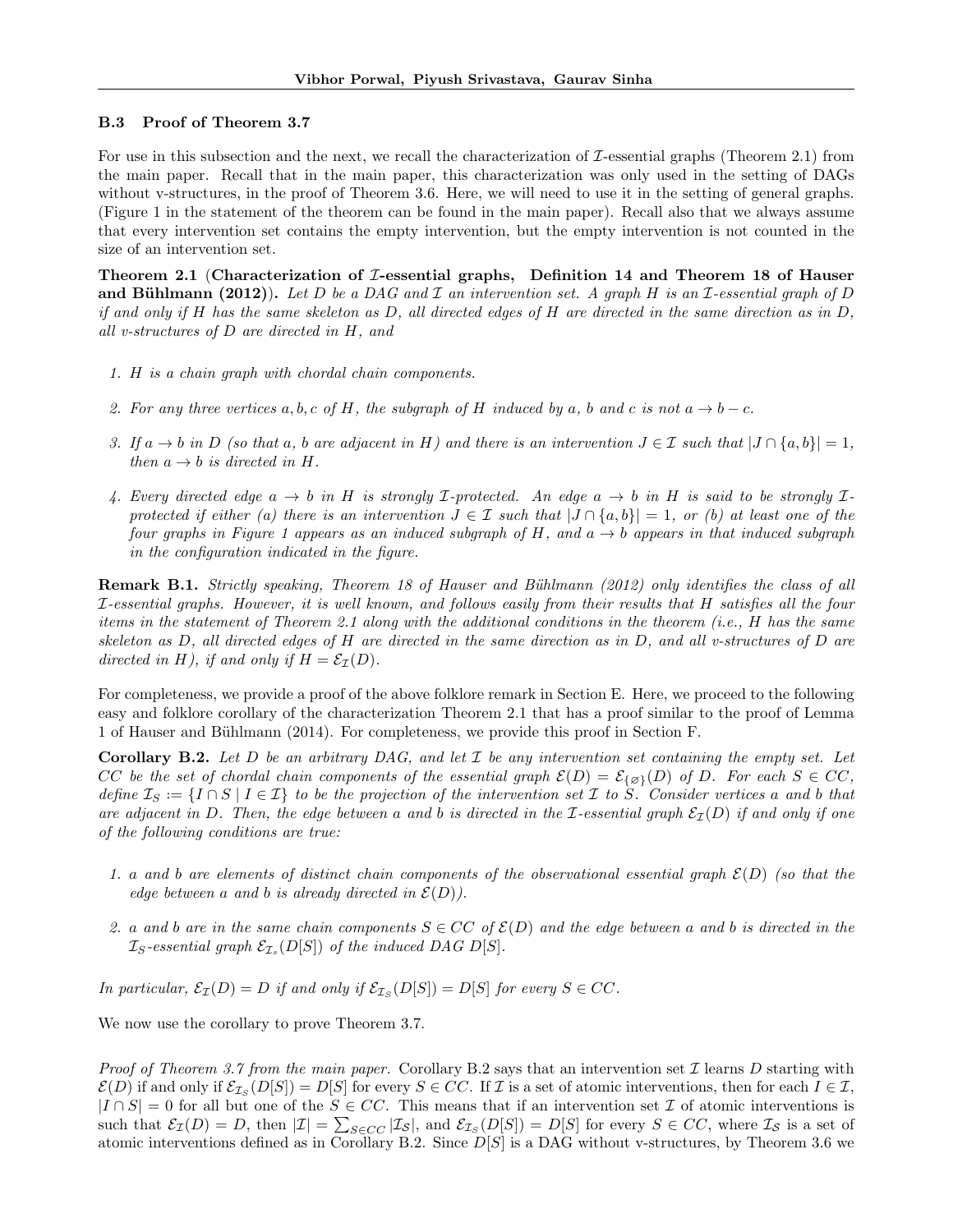## B.3 Proof of Theorem 3.7

For use in this subsection and the next, we recall the characterization of  $\mathcal I$ -essential graphs (Theorem 2.1) from the main paper. Recall that in the main paper, this characterization was only used in the setting of DAGs without v-structures, in the proof of Theorem 3.6. Here, we will need to use it in the setting of general graphs. (Figure 1 in the statement of the theorem can be found in the main paper). Recall also that we always assume that every intervention set contains the empty intervention, but the empty intervention is not counted in the size of an intervention set.

Theorem 2.1 (Characterization of  $I$ -essential graphs, Definition 14 and Theorem 18 of Hauser and Bühlmann (2012)). Let D be a DAG and I an intervention set. A graph H is an I-essential graph of D if and only if H has the same skeleton as D, all directed edges of H are directed in the same direction as in D, all v-structures of D are directed in H, and

- 1. H is a chain graph with chordal chain components.
- 2. For any three vertices a, b, c of H, the subgraph of H induced by a, b and c is not  $a \to b c$ .
- 3. If  $a \to b$  in D (so that a, b are adjacent in H) and there is an intervention  $J \in \mathcal{I}$  such that  $|J \cap \{a, b\}| = 1$ , then  $a \rightarrow b$  is directed in H.
- 4. Every directed edge  $a \to b$  in H is strongly *L*-protected. An edge  $a \to b$  in H is said to be strongly *L*protected if either (a) there is an intervention  $J \in \mathcal{I}$  such that  $|J \cap \{a, b\}| = 1$ , or (b) at least one of the four graphs in Figure 1 appears as an induced subgraph of H, and  $a \rightarrow b$  appears in that induced subgraph in the configuration indicated in the figure.

**Remark B.1.** Strictly speaking, Theorem 18 of Hauser and Bühlmann (2012) only identifies the class of all I-essential graphs. However, it is well known, and follows easily from their results that H satisfies all the four items in the statement of Theorem 2.1 along with the additional conditions in the theorem (i.e., H has the same skeleton as D, all directed edges of H are directed in the same direction as in D, and all v-structures of D are directed in H), if and only if  $H = \mathcal{E}_{\mathcal{I}}(D)$ .

For completeness, we provide a proof of the above folklore remark in Section E. Here, we proceed to the following easy and folklore corollary of the characterization Theorem 2.1 that has a proof similar to the proof of Lemma 1 of Hauser and Bühlmann (2014). For completeness, we provide this proof in Section F.

**Corollary B.2.** Let D be an arbitrary DAG, and let  $\mathcal I$  be any intervention set containing the empty set. Let CC be the set of chordal chain components of the essential graph  $\mathcal{E}(D) = \mathcal{E}_{\{\varnothing\}}(D)$  of D. For each  $S \in CC$ , define  $\mathcal{I}_S := \{I \cap S \mid I \in \mathcal{I}\}\$  to be the projection of the intervention set  $\mathcal I$  to  $S$ . Consider vertices a and b that are adjacent in D. Then, the edge between a and b is directed in the I-essential graph  $\mathcal{E}_I(D)$  if and only if one of the following conditions are true:

- 1. a and b are elements of distinct chain components of the observational essential graph  $\mathcal{E}(D)$  (so that the edge between a and b is already directed in  $\mathcal{E}(D)$ ).
- 2. a and b are in the same chain components  $S \in CC$  of  $\mathcal{E}(D)$  and the edge between a and b is directed in the  $\mathcal{I}_S\text{-}essential\ graph\ \mathcal{E}_{\mathcal{I}_s}(D[S])$  of the induced DAG D[S].

In particular,  $\mathcal{E}_{\mathcal{I}}(D) = D$  if and only if  $\mathcal{E}_{\mathcal{I}_S}(D[S]) = D[S]$  for every  $S \in CC$ .

We now use the corollary to prove Theorem 3.7.

*Proof of Theorem 3.7 from the main paper.* Corollary B.2 says that an intervention set  $\mathcal I$  learns  $D$  starting with  $\mathcal{E}(D)$  if and only if  $\mathcal{E}_{\mathcal{I}_S}(D[S]) = D[S]$  for every  $S \in CC$ . If  $\mathcal I$  is a set of atomic interventions, then for each  $I \in \mathcal I$ ,  $|I \cap S| = 0$  for all but one of the  $S \in CC$ . This means that if an intervention set  $\mathcal I$  of atomic interventions is such that  $\mathcal{E}_{\mathcal{I}}(D) = D$ , then  $|\mathcal{I}| = \sum_{S \in CC} |\mathcal{I}_S|$ , and  $\mathcal{E}_{\mathcal{I}_S}(D[S]) = D[S]$  for every  $S \in CC$ , where  $\mathcal{I}_S$  is a set of atomic interventions defined as in Corollary B.2. Since  $D[S]$  is a DAG without v-structures, by Theorem 3.6 we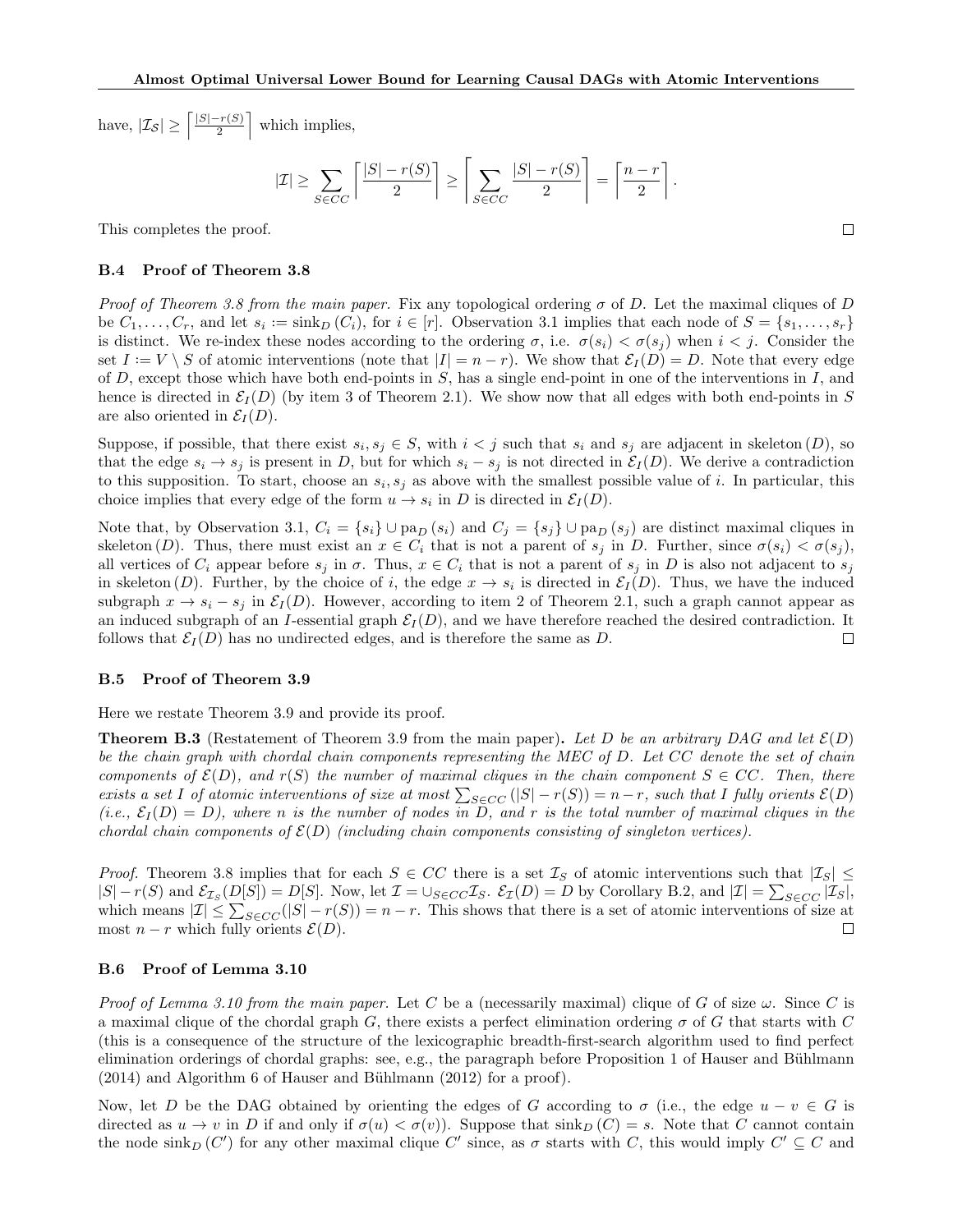have,  $|\mathcal{I}_{\mathcal{S}}| \geq \left\lceil \frac{|S| - r(S)}{2} \right\rceil$  $\frac{r(S)}{2}$  which implies,

$$
|\mathcal{I}| \ge \sum_{S \in CC} \left\lceil \frac{|S| - r(S)}{2} \right\rceil \ge \left\lceil \sum_{S \in CC} \frac{|S| - r(S)}{2} \right\rceil = \left\lceil \frac{n - r}{2} \right\rceil.
$$

 $\Box$ 

This completes the proof.

### B.4 Proof of Theorem 3.8

Proof of Theorem 3.8 from the main paper. Fix any topological ordering  $\sigma$  of D. Let the maximal cliques of D be  $C_1, \ldots, C_r$ , and let  $s_i := \sin k_D (C_i)$ , for  $i \in [r]$ . Observation 3.1 implies that each node of  $S = \{s_1, \ldots, s_r\}$ is distinct. We re-index these nodes according to the ordering  $\sigma$ , i.e.  $\sigma(s_i) < \sigma(s_i)$  when  $i < j$ . Consider the set  $I := V \setminus S$  of atomic interventions (note that  $|I| = n - r$ ). We show that  $\mathcal{E}_I(D) = D$ . Note that every edge of  $D$ , except those which have both end-points in  $S$ , has a single end-point in one of the interventions in  $I$ , and hence is directed in  $\mathcal{E}_I(D)$  (by item 3 of Theorem 2.1). We show now that all edges with both end-points in S are also oriented in  $\mathcal{E}_I(D)$ .

Suppose, if possible, that there exist  $s_i, s_j \in S$ , with  $i < j$  such that  $s_i$  and  $s_j$  are adjacent in skeleton  $(D)$ , so that the edge  $s_i \to s_j$  is present in D, but for which  $s_i - s_j$  is not directed in  $\mathcal{E}_I(D)$ . We derive a contradiction to this supposition. To start, choose an  $s_i, s_j$  as above with the smallest possible value of i. In particular, this choice implies that every edge of the form  $u \to s_i$  in D is directed in  $\mathcal{E}_I(D)$ .

Note that, by Observation 3.1,  $C_i = \{s_i\} \cup \text{pa}_D(s_i)$  and  $C_j = \{s_j\} \cup \text{pa}_D(s_j)$  are distinct maximal cliques in skeleton (D). Thus, there must exist an  $x \in C_i$  that is not a parent of  $s_j$  in D. Further, since  $\sigma(s_i) < \sigma(s_j)$ , all vertices of  $C_i$  appear before  $s_j$  in  $\sigma$ . Thus,  $x \in C_i$  that is not a parent of  $s_j$  in D is also not adjacent to  $s_j$ in skeleton  $(D)$ . Further, by the choice of i, the edge  $x \to s_i$  is directed in  $\mathcal{E}_I(D)$ . Thus, we have the induced subgraph  $x \to s_i - s_j$  in  $\mathcal{E}_I(D)$ . However, according to item 2 of Theorem 2.1, such a graph cannot appear as an induced subgraph of an I-essential graph  $\mathcal{E}_I(D)$ , and we have therefore reached the desired contradiction. It follows that  $\mathcal{E}_I(D)$  has no undirected edges, and is therefore the same as D.  $\Box$ 

### B.5 Proof of Theorem 3.9

Here we restate Theorem 3.9 and provide its proof.

**Theorem B.3** (Restatement of Theorem 3.9 from the main paper). Let D be an arbitrary DAG and let  $\mathcal{E}(D)$ be the chain graph with chordal chain components representing the MEC of D. Let CC denote the set of chain components of  $\mathcal{E}(D)$ , and  $r(S)$  the number of maximal cliques in the chain component  $S \in CC$ . Then, there exists a set I of atomic interventions of size at most  $\sum_{S \in CC} (|S| - r(S)) = n - r$ , such that I fully orients  $\mathcal{E}(D)$  $(i.e., \mathcal{E}_I(D) = D)$ , where n is the number of nodes in D, and r is the total number of maximal cliques in the chordal chain components of  $\mathcal{E}(D)$  (including chain components consisting of singleton vertices).

*Proof.* Theorem 3.8 implies that for each  $S \in CC$  there is a set  $\mathcal{I}_S$  of atomic interventions such that  $|\mathcal{I}_S| \leq$  $|S| - r(S)$  and  $\mathcal{E}_{\mathcal{I}_S}(D[S]) = D[S]$ . Now, let  $\mathcal{I} = \cup_{S \in CC} \mathcal{I}_S$ .  $\mathcal{E}_{\mathcal{I}}(D) = D$  by Corollary B.2, and  $|\mathcal{I}| = \sum_{S \in CC} |\mathcal{I}_S|$ , which means  $|\mathcal{I}| \leq \sum_{S \in CC} (|S| - r(S)) = n - r$ . This shows that there is a set of atomic interventions of size at most  $n - r$  which fully orients  $\mathcal{E}(D)$ .  $\Box$ 

### B.6 Proof of Lemma 3.10

Proof of Lemma 3.10 from the main paper. Let C be a (necessarily maximal) clique of G of size  $\omega$ . Since C is a maximal clique of the chordal graph G, there exists a perfect elimination ordering  $\sigma$  of G that starts with C (this is a consequence of the structure of the lexicographic breadth-first-search algorithm used to find perfect elimination orderings of chordal graphs: see, e.g., the paragraph before Proposition 1 of Hauser and Bühlmann  $(2014)$  and Algorithm 6 of Hauser and Bühlmann  $(2012)$  for a proof).

Now, let D be the DAG obtained by orienting the edges of G according to  $\sigma$  (i.e., the edge  $u - v \in G$  is directed as  $u \to v$  in D if and only if  $\sigma(u) < \sigma(v)$ . Suppose that sink $_D(C) = s$ . Note that C cannot contain the node  $\sin k_D (C')$  for any other maximal clique C' since, as  $\sigma$  starts with C, this would imply  $C' \subseteq C$  and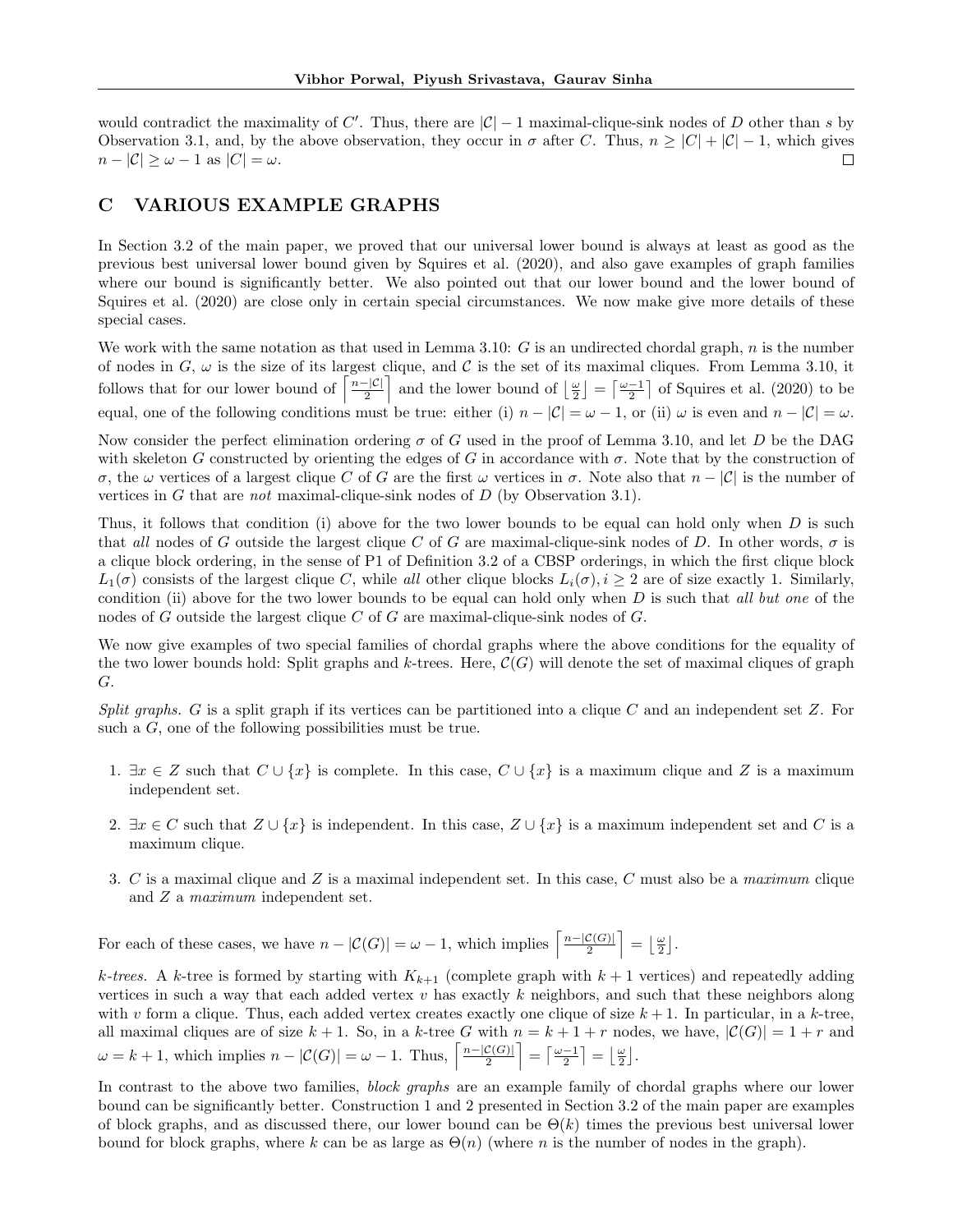would contradict the maximality of C'. Thus, there are  $|\mathcal{C}| - 1$  maximal-clique-sink nodes of D other than s by Observation 3.1, and, by the above observation, they occur in  $\sigma$  after C. Thus,  $n \geq |C| + |\mathcal{C}| - 1$ , which gives  $n - |\mathcal{C}| \geq \omega - 1$  as  $|C| = \omega$ .  $\Box$ 

# C VARIOUS EXAMPLE GRAPHS

In Section 3.2 of the main paper, we proved that our universal lower bound is always at least as good as the previous best universal lower bound given by Squires et al. (2020), and also gave examples of graph families where our bound is significantly better. We also pointed out that our lower bound and the lower bound of Squires et al. (2020) are close only in certain special circumstances. We now make give more details of these special cases.

We work with the same notation as that used in Lemma 3.10:  $G$  is an undirected chordal graph,  $n$  is the number of nodes in  $G, \omega$  is the size of its largest clique, and  $C$  is the set of its maximal cliques. From Lemma 3.10, it follows that for our lower bound of  $\left\lceil \frac{n-|\mathcal{C}|}{2} \right\rceil$  $\left[\frac{|C|}{2}\right]$  and the lower bound of  $\left[\frac{\omega}{2}\right] = \left[\frac{\omega-1}{2}\right]$  of Squires et al. (2020) to be equal, one of the following conditions must be true: either (i)  $n - |\mathcal{C}| = \omega - 1$ , or (ii)  $\omega$  is even and  $n - |\mathcal{C}| = \omega$ .

Now consider the perfect elimination ordering  $\sigma$  of G used in the proof of Lemma 3.10, and let D be the DAG with skeleton G constructed by orienting the edges of G in accordance with  $\sigma$ . Note that by the construction of σ, the ω vertices of a largest clique C of G are the first ω vertices in σ. Note also that n − |C| is the number of vertices in G that are *not* maximal-clique-sink nodes of  $D$  (by Observation 3.1).

Thus, it follows that condition (i) above for the two lower bounds to be equal can hold only when  $D$  is such that all nodes of G outside the largest clique C of G are maximal-clique-sink nodes of D. In other words,  $\sigma$  is a clique block ordering, in the sense of P1 of Definition 3.2 of a CBSP orderings, in which the first clique block  $L_1(\sigma)$  consists of the largest clique C, while all other clique blocks  $L_i(\sigma)$ ,  $i \geq 2$  are of size exactly 1. Similarly, condition (ii) above for the two lower bounds to be equal can hold only when  $D$  is such that all but one of the nodes of G outside the largest clique C of G are maximal-clique-sink nodes of  $G$ .

We now give examples of two special families of chordal graphs where the above conditions for the equality of the two lower bounds hold: Split graphs and k-trees. Here,  $\mathcal{C}(G)$  will denote the set of maximal cliques of graph G.

Split graphs. G is a split graph if its vertices can be partitioned into a clique C and an independent set  $Z$ . For such a G, one of the following possibilities must be true.

- 1.  $\exists x \in Z$  such that  $C \cup \{x\}$  is complete. In this case,  $C \cup \{x\}$  is a maximum clique and Z is a maximum independent set.
- 2.  $\exists x \in C$  such that  $Z \cup \{x\}$  is independent. In this case,  $Z \cup \{x\}$  is a maximum independent set and C is a maximum clique.
- 3. C is a maximal clique and Z is a maximal independent set. In this case, C must also be a maximum clique and Z a maximum independent set.

For each of these cases, we have  $n - |\mathcal{C}(G)| = \omega - 1$ , which implies  $\left\lceil \frac{n - |\mathcal{C}(G)|}{2} \right\rceil$  $\left\lfloor \frac{\mathcal{C}(G)}{2} \right\rfloor = \left\lfloor \frac{\omega}{2} \right\rfloor.$ 

k-trees. A k-tree is formed by starting with  $K_{k+1}$  (complete graph with  $k+1$  vertices) and repeatedly adding vertices in such a way that each added vertex  $v$  has exactly  $k$  neighbors, and such that these neighbors along with v form a clique. Thus, each added vertex creates exactly one clique of size  $k + 1$ . In particular, in a k-tree, all maximal cliques are of size  $k + 1$ . So, in a k-tree G with  $n = k + 1 + r$  nodes, we have,  $|\mathcal{C}(G)| = 1 + r$  and  $\omega = k + 1$ , which implies  $n - |\mathcal{C}(G)| = \omega - 1$ . Thus,  $\left\lceil \frac{n - |\mathcal{C}(G)|}{2} \right\rceil$  $\left[\frac{\mathcal{C}(G)}{2}\right] = \left[\frac{\omega-1}{2}\right] = \left[\frac{\omega}{2}\right].$ 

In contrast to the above two families, *block graphs* are an example family of chordal graphs where our lower bound can be significantly better. Construction 1 and 2 presented in Section 3.2 of the main paper are examples of block graphs, and as discussed there, our lower bound can be  $\Theta(k)$  times the previous best universal lower bound for block graphs, where k can be as large as  $\Theta(n)$  (where n is the number of nodes in the graph).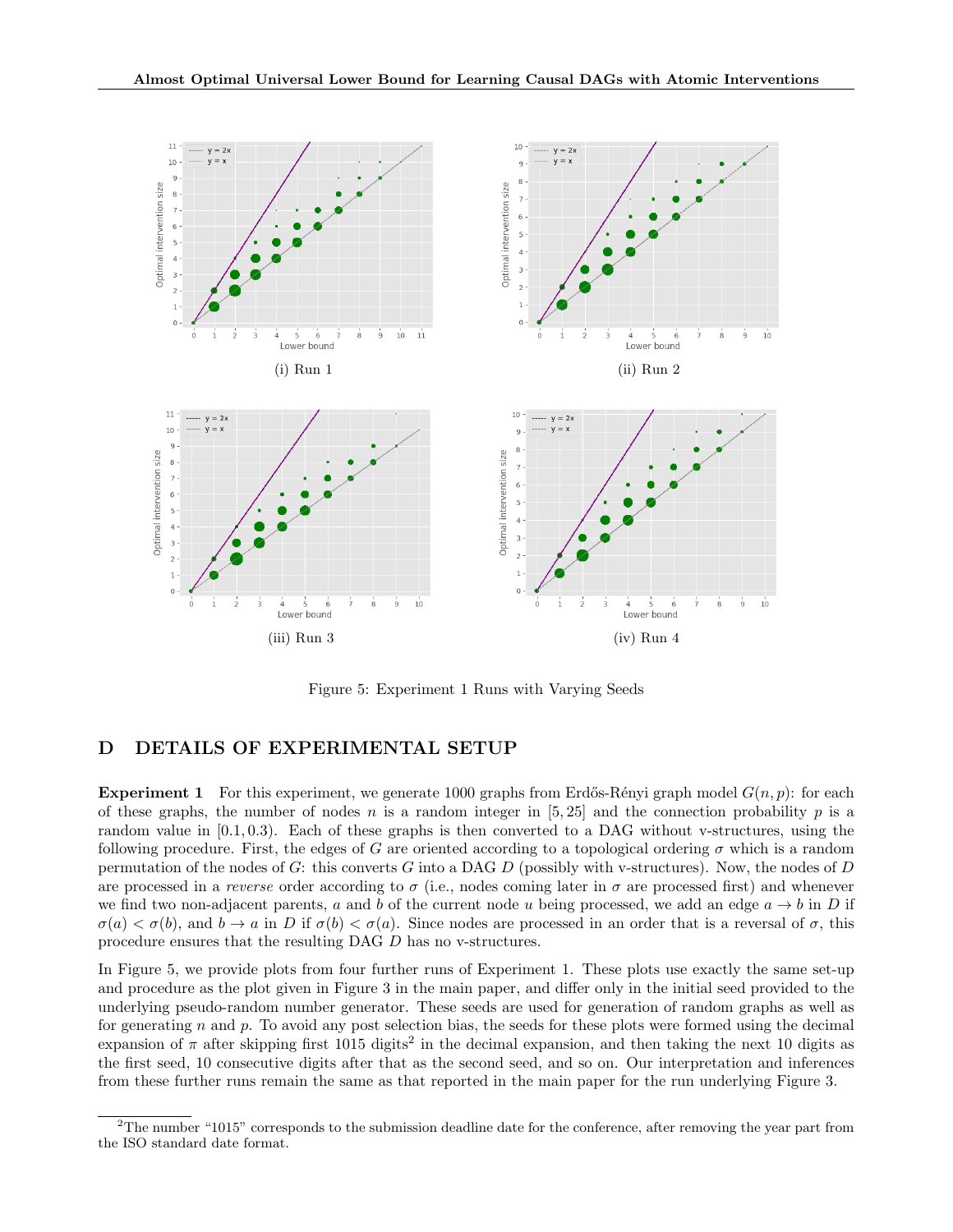

Figure 5: Experiment 1 Runs with Varying Seeds

# D DETAILS OF EXPERIMENTAL SETUP

**Experiment 1** For this experiment, we generate 1000 graphs from Erdős-Rényi graph model  $G(n, p)$ : for each of these graphs, the number of nodes n is a random integer in  $[5, 25]$  and the connection probability p is a random value in  $[0.1, 0.3]$ . Each of these graphs is then converted to a DAG without v-structures, using the following procedure. First, the edges of G are oriented according to a topological ordering  $\sigma$  which is a random permutation of the nodes of G: this converts G into a DAG D (possibly with v-structures). Now, the nodes of D are processed in a reverse order according to  $\sigma$  (i.e., nodes coming later in  $\sigma$  are processed first) and whenever we find two non-adjacent parents, a and b of the current node u being processed, we add an edge  $a \rightarrow b$  in D if  $\sigma(a) < \sigma(b)$ , and  $b \to a$  in D if  $\sigma(b) < \sigma(a)$ . Since nodes are processed in an order that is a reversal of  $\sigma$ , this procedure ensures that the resulting DAG D has no v-structures.

In Figure 5, we provide plots from four further runs of Experiment 1. These plots use exactly the same set-up and procedure as the plot given in Figure 3 in the main paper, and differ only in the initial seed provided to the underlying pseudo-random number generator. These seeds are used for generation of random graphs as well as for generating n and p. To avoid any post selection bias, the seeds for these plots were formed using the decimal expansion of  $\pi$  after skipping first 1015 digits<sup>2</sup> in the decimal expansion, and then taking the next 10 digits as the first seed, 10 consecutive digits after that as the second seed, and so on. Our interpretation and inferences from these further runs remain the same as that reported in the main paper for the run underlying Figure 3.

 $2$ The number "1015" corresponds to the submission deadline date for the conference, after removing the year part from the ISO standard date format.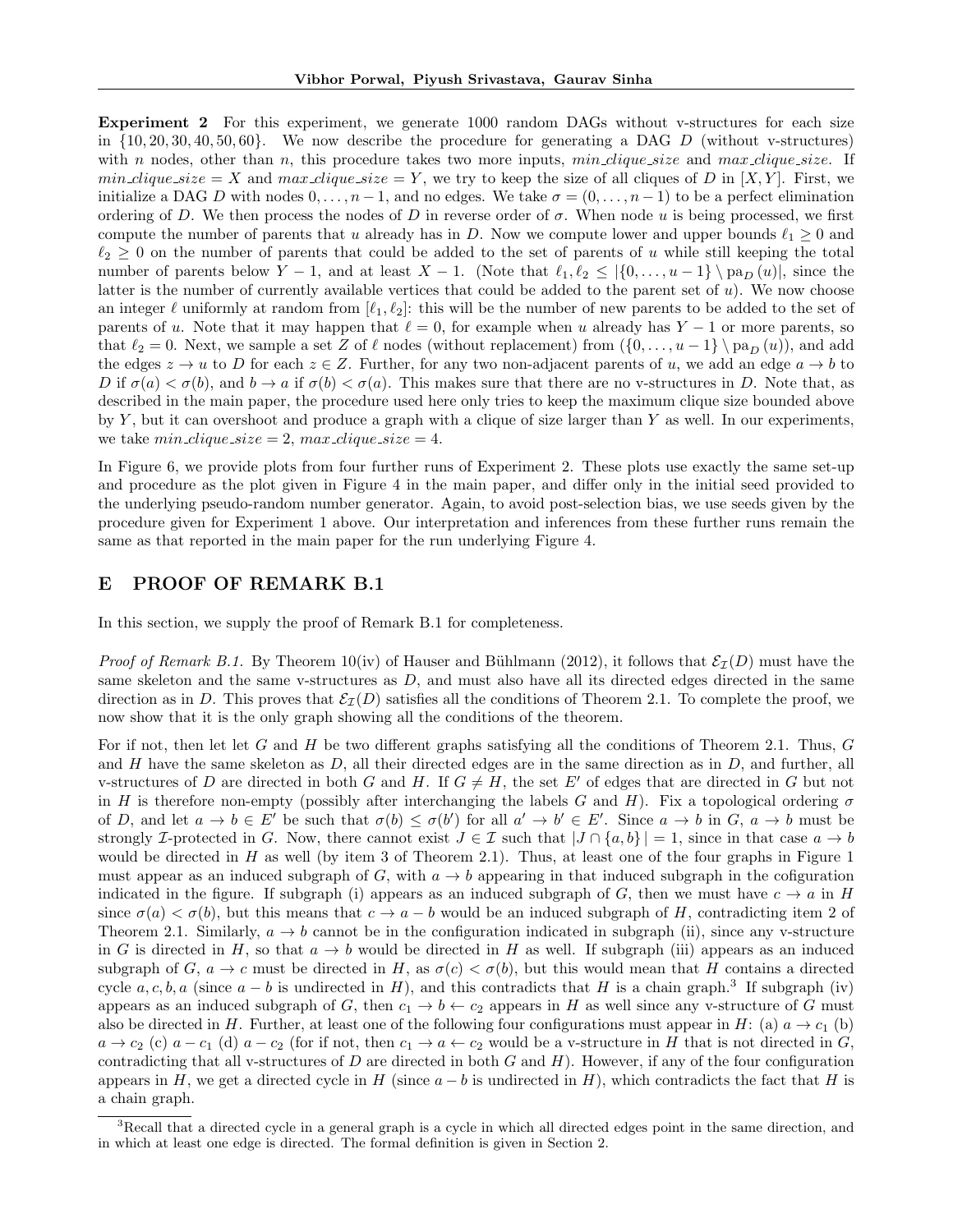Experiment 2 For this experiment, we generate 1000 random DAGs without v-structures for each size in  $\{10, 20, 30, 40, 50, 60\}$ . We now describe the procedure for generating a DAG D (without v-structures) with n nodes, other than n, this procedure takes two more inputs,  $min\_clique\_size$  and  $max\_clique\_size$ . If min clique size = X and max clique size = Y, we try to keep the size of all cliques of D in  $[X, Y]$ . First, we initialize a DAG D with nodes  $0, \ldots, n-1$ , and no edges. We take  $\sigma = (0, \ldots, n-1)$  to be a perfect elimination ordering of D. We then process the nodes of D in reverse order of  $\sigma$ . When node u is being processed, we first compute the number of parents that u already has in D. Now we compute lower and upper bounds  $\ell_1 \geq 0$  and  $\ell_2 \geq 0$  on the number of parents that could be added to the set of parents of u while still keeping the total number of parents below  $Y - 1$ , and at least  $X - 1$ . (Note that  $\ell_1, \ell_2 \leq |\{0, \ldots, u - 1\} \setminus \mathrm{pa}_D (u)|$ , since the latter is the number of currently available vertices that could be added to the parent set of  $u$ ). We now choose an integer  $\ell$  uniformly at random from  $[\ell_1, \ell_2]$ : this will be the number of new parents to be added to the set of parents of u. Note that it may happen that  $\ell = 0$ , for example when u already has Y − 1 or more parents, so that  $\ell_2 = 0$ . Next, we sample a set Z of  $\ell$  nodes (without replacement) from  $(\{0, \ldots, u - 1\} \setminus pa_D(u))$ , and add the edges  $z \to u$  to D for each  $z \in Z$ . Further, for any two non-adjacent parents of u, we add an edge  $a \to b$  to D if  $\sigma(a) < \sigma(b)$ , and  $b \to a$  if  $\sigma(b) < \sigma(a)$ . This makes sure that there are no v-structures in D. Note that, as described in the main paper, the procedure used here only tries to keep the maximum clique size bounded above by Y, but it can overshoot and produce a graph with a clique of size larger than Y as well. In our experiments, we take  $min\_clique\_size = 2$ ,  $max\_clique\_size = 4$ .

In Figure 6, we provide plots from four further runs of Experiment 2. These plots use exactly the same set-up and procedure as the plot given in Figure 4 in the main paper, and differ only in the initial seed provided to the underlying pseudo-random number generator. Again, to avoid post-selection bias, we use seeds given by the procedure given for Experiment 1 above. Our interpretation and inferences from these further runs remain the same as that reported in the main paper for the run underlying Figure 4.

## E PROOF OF REMARK B.1

In this section, we supply the proof of Remark B.1 for completeness.

*Proof of Remark B.1.* By Theorem 10(iv) of Hauser and Bühlmann (2012), it follows that  $\mathcal{E}_I(D)$  must have the same skeleton and the same v-structures as  $D$ , and must also have all its directed edges directed in the same direction as in D. This proves that  $\mathcal{E}_I(D)$  satisfies all the conditions of Theorem 2.1. To complete the proof, we now show that it is the only graph showing all the conditions of the theorem.

For if not, then let let G and H be two different graphs satisfying all the conditions of Theorem 2.1. Thus,  $G$ and H have the same skeleton as  $D$ , all their directed edges are in the same direction as in  $D$ , and further, all v-structures of D are directed in both G and H. If  $G \neq H$ , the set E' of edges that are directed in G but not in H is therefore non-empty (possibly after interchanging the labels G and H). Fix a topological ordering  $\sigma$ of D, and let  $a \to b \in E'$  be such that  $\sigma(b) \leq \sigma(b')$  for all  $a' \to b' \in E'$ . Since  $a \to b$  in  $G, a \to b$  must be strongly I-protected in G. Now, there cannot exist  $J \in \mathcal{I}$  such that  $|J \cap \{a, b\}| = 1$ , since in that case  $a \to b$ would be directed in H as well (by item 3 of Theorem 2.1). Thus, at least one of the four graphs in Figure 1 must appear as an induced subgraph of G, with  $a \to b$  appearing in that induced subgraph in the cofiguration indicated in the figure. If subgraph (i) appears as an induced subgraph of G, then we must have  $c \to a$  in H since  $\sigma(a) < \sigma(b)$ , but this means that  $c \to a - b$  would be an induced subgraph of H, contradicting item 2 of Theorem 2.1. Similarly,  $a \rightarrow b$  cannot be in the configuration indicated in subgraph (ii), since any v-structure in G is directed in H, so that  $a \to b$  would be directed in H as well. If subgraph (iii) appears as an induced subgraph of G,  $a \to c$  must be directed in H, as  $\sigma(c) < \sigma(b)$ , but this would mean that H contains a directed cycle  $a, c, b, a$  (since  $a - b$  is undirected in H), and this contradicts that H is a chain graph.<sup>3</sup> If subgraph (iv) appears as an induced subgraph of G, then  $c_1 \rightarrow b \leftarrow c_2$  appears in H as well since any v-structure of G must also be directed in H. Further, at least one of the following four configurations must appear in H: (a)  $a \to c_1$  (b)  $a \to c_2$  (c)  $a - c_1$  (d)  $a - c_2$  (for if not, then  $c_1 \to a \leftarrow c_2$  would be a v-structure in H that is not directed in G, contradicting that all v-structures of  $D$  are directed in both  $G$  and  $H$ ). However, if any of the four configuration appears in H, we get a directed cycle in H (since  $a - b$  is undirected in H), which contradicts the fact that H is a chain graph.

<sup>&</sup>lt;sup>3</sup>Recall that a directed cycle in a general graph is a cycle in which all directed edges point in the same direction, and in which at least one edge is directed. The formal definition is given in Section 2.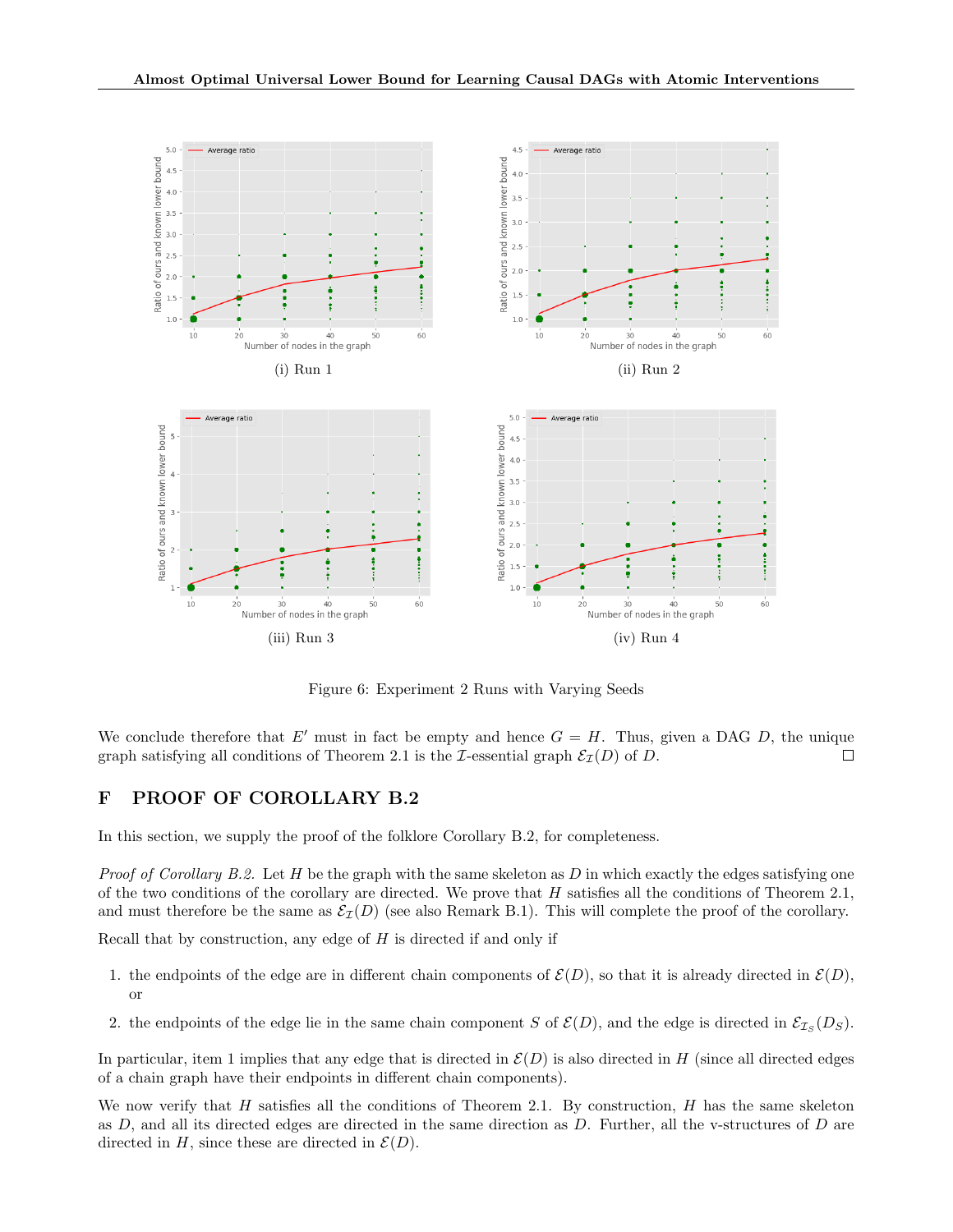

Figure 6: Experiment 2 Runs with Varying Seeds

We conclude therefore that E' must in fact be empty and hence  $G = H$ . Thus, given a DAG D, the unique graph satisfying all conditions of Theorem 2.1 is the *I*-essential graph  $\mathcal{E}_I(D)$  of *D*.  $\Box$ 

# F PROOF OF COROLLARY B.2

In this section, we supply the proof of the folklore Corollary B.2, for completeness.

*Proof of Corollary B.2.* Let H be the graph with the same skeleton as D in which exactly the edges satisfying one of the two conditions of the corollary are directed. We prove that  $H$  satisfies all the conditions of Theorem 2.1, and must therefore be the same as  $\mathcal{E}_I(D)$  (see also Remark B.1). This will complete the proof of the corollary.

Recall that by construction, any edge of  $H$  is directed if and only if

- 1. the endpoints of the edge are in different chain components of  $\mathcal{E}(D)$ , so that it is already directed in  $\mathcal{E}(D)$ , or
- 2. the endpoints of the edge lie in the same chain component S of  $\mathcal{E}(D)$ , and the edge is directed in  $\mathcal{E}_{\mathcal{I}_S}(D_S)$ .

In particular, item 1 implies that any edge that is directed in  $\mathcal{E}(D)$  is also directed in H (since all directed edges of a chain graph have their endpoints in different chain components).

We now verify that H satisfies all the conditions of Theorem 2.1. By construction, H has the same skeleton as  $D$ , and all its directed edges are directed in the same direction as  $D$ . Further, all the v-structures of  $D$  are directed in H, since these are directed in  $\mathcal{E}(D)$ .